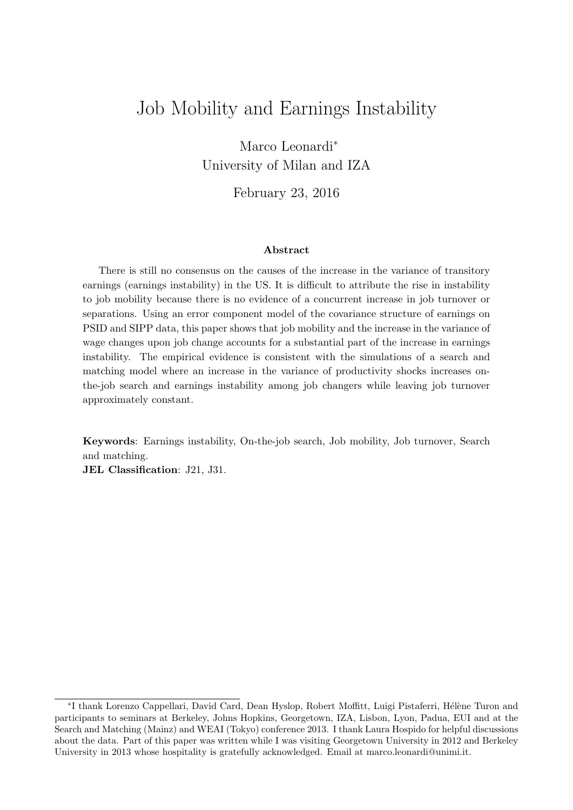# Job Mobility and Earnings Instability

Marco Leonardi<sup>∗</sup> University of Milan and IZA

February 23, 2016

#### Abstract

There is still no consensus on the causes of the increase in the variance of transitory earnings (earnings instability) in the US. It is difficult to attribute the rise in instability to job mobility because there is no evidence of a concurrent increase in job turnover or separations. Using an error component model of the covariance structure of earnings on PSID and SIPP data, this paper shows that job mobility and the increase in the variance of wage changes upon job change accounts for a substantial part of the increase in earnings instability. The empirical evidence is consistent with the simulations of a search and matching model where an increase in the variance of productivity shocks increases onthe-job search and earnings instability among job changers while leaving job turnover approximately constant.

Keywords: Earnings instability, On-the-job search, Job mobility, Job turnover, Search and matching.

JEL Classification: J21, J31.

<sup>\*</sup>I thank Lorenzo Cappellari, David Card, Dean Hyslop, Robert Moffitt, Luigi Pistaferri, Hélène Turon and participants to seminars at Berkeley, Johns Hopkins, Georgetown, IZA, Lisbon, Lyon, Padua, EUI and at the Search and Matching (Mainz) and WEAI (Tokyo) conference 2013. I thank Laura Hospido for helpful discussions about the data. Part of this paper was written while I was visiting Georgetown University in 2012 and Berkeley University in 2013 whose hospitality is gratefully acknowledged. Email at marco.leonardi@unimi.it.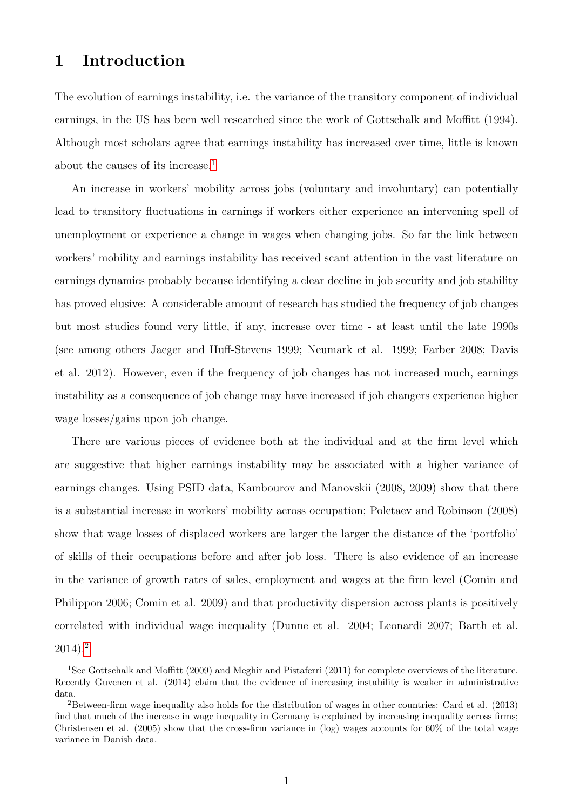## 1 Introduction

The evolution of earnings instability, i.e. the variance of the transitory component of individual earnings, in the US has been well researched since the work of Gottschalk and Moffitt (1994). Although most scholars agree that earnings instability has increased over time, little is known about the causes of its increase.<sup>[1](#page-1-0)</sup>

An increase in workers' mobility across jobs (voluntary and involuntary) can potentially lead to transitory fluctuations in earnings if workers either experience an intervening spell of unemployment or experience a change in wages when changing jobs. So far the link between workers' mobility and earnings instability has received scant attention in the vast literature on earnings dynamics probably because identifying a clear decline in job security and job stability has proved elusive: A considerable amount of research has studied the frequency of job changes but most studies found very little, if any, increase over time - at least until the late 1990s (see among others Jaeger and Huff-Stevens 1999; Neumark et al. 1999; Farber 2008; Davis et al. 2012). However, even if the frequency of job changes has not increased much, earnings instability as a consequence of job change may have increased if job changers experience higher wage losses/gains upon job change.

There are various pieces of evidence both at the individual and at the firm level which are suggestive that higher earnings instability may be associated with a higher variance of earnings changes. Using PSID data, Kambourov and Manovskii (2008, 2009) show that there is a substantial increase in workers' mobility across occupation; Poletaev and Robinson (2008) show that wage losses of displaced workers are larger the larger the distance of the 'portfolio' of skills of their occupations before and after job loss. There is also evidence of an increase in the variance of growth rates of sales, employment and wages at the firm level (Comin and Philippon 2006; Comin et al. 2009) and that productivity dispersion across plants is positively correlated with individual wage inequality (Dunne et al. 2004; Leonardi 2007; Barth et al. 2014).[2](#page-1-1)

<span id="page-1-0"></span><sup>1</sup>See Gottschalk and Moffitt (2009) and Meghir and Pistaferri (2011) for complete overviews of the literature. Recently Guvenen et al. (2014) claim that the evidence of increasing instability is weaker in administrative data.

<span id="page-1-1"></span><sup>2</sup>Between-firm wage inequality also holds for the distribution of wages in other countries: Card et al. (2013) find that much of the increase in wage inequality in Germany is explained by increasing inequality across firms; Christensen et al. (2005) show that the cross-firm variance in (log) wages accounts for 60% of the total wage variance in Danish data.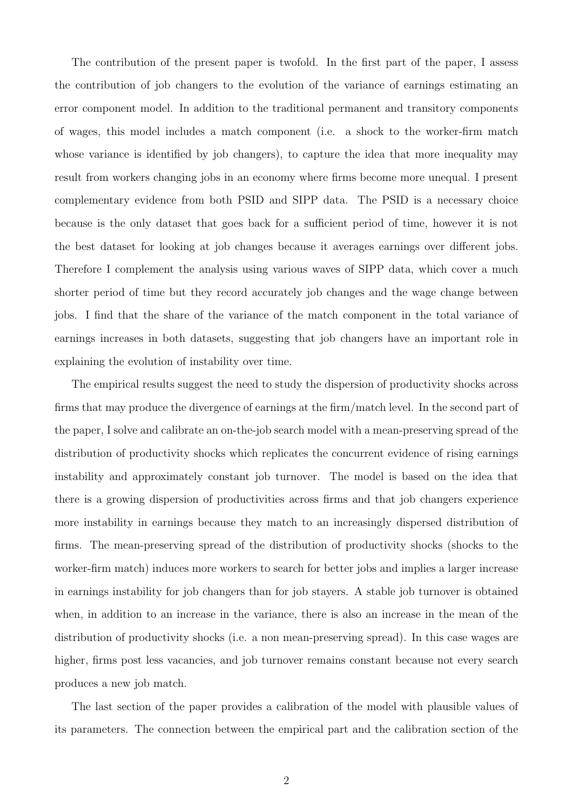The contribution of the present paper is twofold. In the first part of the paper, I assess the contribution of job changers to the evolution of the variance of earnings estimating an error component model. In addition to the traditional permanent and transitory components of wages, this model includes a match component (i.e. a shock to the worker-firm match whose variance is identified by job changers), to capture the idea that more inequality may result from workers changing jobs in an economy where firms become more unequal. I present complementary evidence from both PSID and SIPP data. The PSID is a necessary choice because is the only dataset that goes back for a sufficient period of time, however it is not the best dataset for looking at job changes because it averages earnings over different jobs. Therefore I complement the analysis using various waves of SIPP data, which cover a much shorter period of time but they record accurately job changes and the wage change between jobs. I find that the share of the variance of the match component in the total variance of earnings increases in both datasets, suggesting that job changers have an important role in explaining the evolution of instability over time.

The empirical results suggest the need to study the dispersion of productivity shocks across firms that may produce the divergence of earnings at the firm/match level. In the second part of the paper, I solve and calibrate an on-the-job search model with a mean-preserving spread of the distribution of productivity shocks which replicates the concurrent evidence of rising earnings instability and approximately constant job turnover. The model is based on the idea that there is a growing dispersion of productivities across firms and that job changers experience more instability in earnings because they match to an increasingly dispersed distribution of firms. The mean-preserving spread of the distribution of productivity shocks (shocks to the worker-firm match) induces more workers to search for better jobs and implies a larger increase in earnings instability for job changers than for job stayers. A stable job turnover is obtained when, in addition to an increase in the variance, there is also an increase in the mean of the distribution of productivity shocks (i.e. a non mean-preserving spread). In this case wages are higher, firms post less vacancies, and job turnover remains constant because not every search produces a new job match.

The last section of the paper provides a calibration of the model with plausible values of its parameters. The connection between the empirical part and the calibration section of the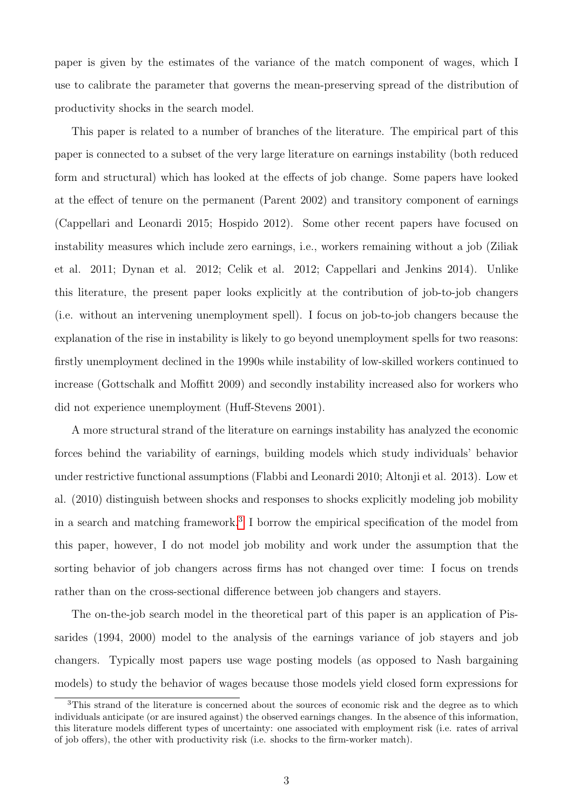paper is given by the estimates of the variance of the match component of wages, which I use to calibrate the parameter that governs the mean-preserving spread of the distribution of productivity shocks in the search model.

This paper is related to a number of branches of the literature. The empirical part of this paper is connected to a subset of the very large literature on earnings instability (both reduced form and structural) which has looked at the effects of job change. Some papers have looked at the effect of tenure on the permanent (Parent 2002) and transitory component of earnings (Cappellari and Leonardi 2015; Hospido 2012). Some other recent papers have focused on instability measures which include zero earnings, i.e., workers remaining without a job (Ziliak et al. 2011; Dynan et al. 2012; Celik et al. 2012; Cappellari and Jenkins 2014). Unlike this literature, the present paper looks explicitly at the contribution of job-to-job changers (i.e. without an intervening unemployment spell). I focus on job-to-job changers because the explanation of the rise in instability is likely to go beyond unemployment spells for two reasons: firstly unemployment declined in the 1990s while instability of low-skilled workers continued to increase (Gottschalk and Moffitt 2009) and secondly instability increased also for workers who did not experience unemployment (Huff-Stevens 2001).

A more structural strand of the literature on earnings instability has analyzed the economic forces behind the variability of earnings, building models which study individuals' behavior under restrictive functional assumptions (Flabbi and Leonardi 2010; Altonji et al. 2013). Low et al. (2010) distinguish between shocks and responses to shocks explicitly modeling job mobility in a search and matching framework.[3](#page-3-0) I borrow the empirical specification of the model from this paper, however, I do not model job mobility and work under the assumption that the sorting behavior of job changers across firms has not changed over time: I focus on trends rather than on the cross-sectional difference between job changers and stayers.

The on-the-job search model in the theoretical part of this paper is an application of Pissarides (1994, 2000) model to the analysis of the earnings variance of job stayers and job changers. Typically most papers use wage posting models (as opposed to Nash bargaining models) to study the behavior of wages because those models yield closed form expressions for

<span id="page-3-0"></span><sup>&</sup>lt;sup>3</sup>This strand of the literature is concerned about the sources of economic risk and the degree as to which individuals anticipate (or are insured against) the observed earnings changes. In the absence of this information, this literature models different types of uncertainty: one associated with employment risk (i.e. rates of arrival of job offers), the other with productivity risk (i.e. shocks to the firm-worker match).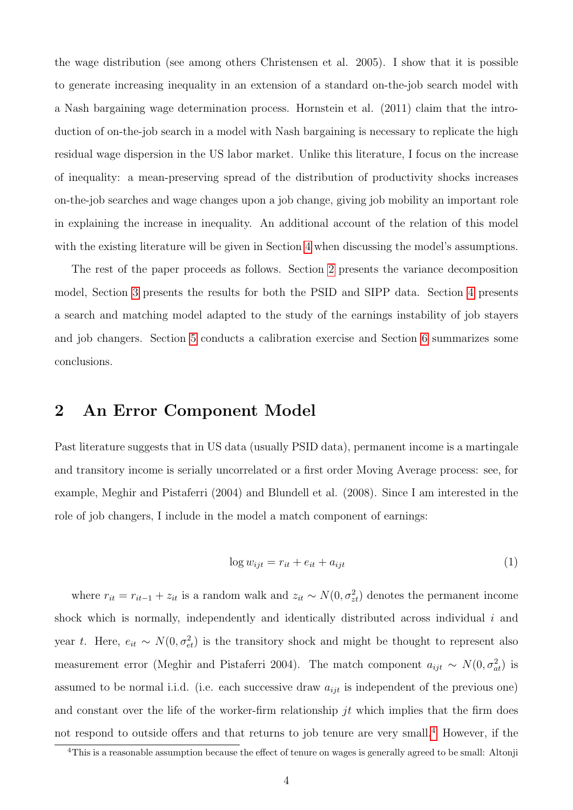the wage distribution (see among others Christensen et al. 2005). I show that it is possible to generate increasing inequality in an extension of a standard on-the-job search model with a Nash bargaining wage determination process. Hornstein et al. (2011) claim that the introduction of on-the-job search in a model with Nash bargaining is necessary to replicate the high residual wage dispersion in the US labor market. Unlike this literature, I focus on the increase of inequality: a mean-preserving spread of the distribution of productivity shocks increases on-the-job searches and wage changes upon a job change, giving job mobility an important role in explaining the increase in inequality. An additional account of the relation of this model with the existing literature will be given in Section [4](#page-16-0) when discussing the model's assumptions.

The rest of the paper proceeds as follows. Section [2](#page-4-0) presents the variance decomposition model, Section [3](#page-6-0) presents the results for both the PSID and SIPP data. Section [4](#page-16-0) presents a search and matching model adapted to the study of the earnings instability of job stayers and job changers. Section [5](#page-25-0) conducts a calibration exercise and Section [6](#page-33-0) summarizes some conclusions.

### <span id="page-4-0"></span>2 An Error Component Model

Past literature suggests that in US data (usually PSID data), permanent income is a martingale and transitory income is serially uncorrelated or a first order Moving Average process: see, for example, Meghir and Pistaferri (2004) and Blundell et al. (2008). Since I am interested in the role of job changers, I include in the model a match component of earnings:

$$
\log w_{ijt} = r_{it} + e_{it} + a_{ijt} \tag{1}
$$

where  $r_{it} = r_{it-1} + z_{it}$  is a random walk and  $z_{it} \sim N(0, \sigma_{zt}^2)$  denotes the permanent income shock which is normally, independently and identically distributed across individual  $i$  and year t. Here,  $e_{it} \sim N(0, \sigma_{et}^2)$  is the transitory shock and might be thought to represent also measurement error (Meghir and Pistaferri 2004). The match component  $a_{ijt} \sim N(0, \sigma_{at}^2)$  is assumed to be normal i.i.d. (i.e. each successive draw  $a_{ijt}$  is independent of the previous one) and constant over the life of the worker-firm relationship  $it$  which implies that the firm does not respond to outside offers and that returns to job tenure are very small.<sup>[4](#page-4-1)</sup> However, if the

<span id="page-4-1"></span><sup>&</sup>lt;sup>4</sup>This is a reasonable assumption because the effect of tenure on wages is generally agreed to be small: Altonji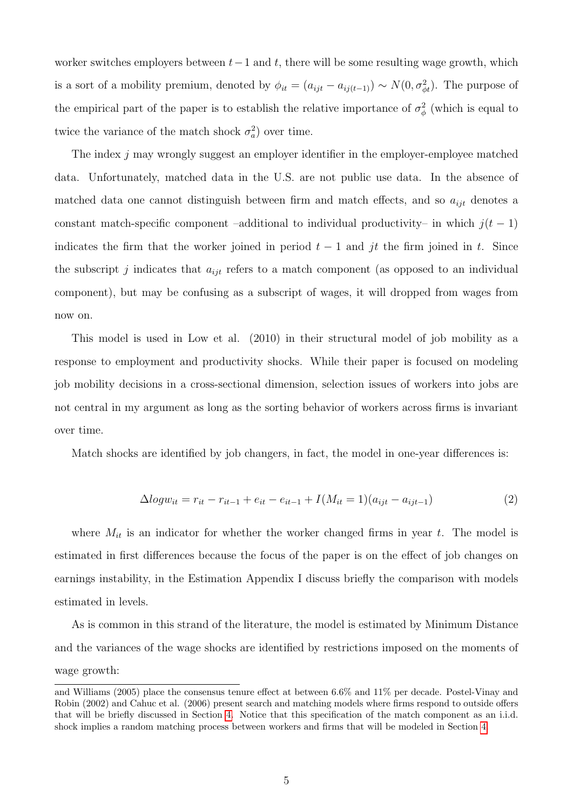worker switches employers between  $t-1$  and  $t$ , there will be some resulting wage growth, which is a sort of a mobility premium, denoted by  $\phi_{it} = (a_{ijt} - a_{ij(t-1)}) \sim N(0, \sigma_{\phi t}^2)$ . The purpose of the empirical part of the paper is to establish the relative importance of  $\sigma_{\phi}^2$  (which is equal to twice the variance of the match shock  $\sigma_a^2$  over time.

The index j may wrongly suggest an employer identifier in the employer-employee matched data. Unfortunately, matched data in the U.S. are not public use data. In the absence of matched data one cannot distinguish between firm and match effects, and so  $a_{ijt}$  denotes a constant match-specific component –additional to individual productivity– in which  $j(t-1)$ indicates the firm that the worker joined in period  $t - 1$  and jt the firm joined in t. Since the subscript j indicates that  $a_{ijt}$  refers to a match component (as opposed to an individual component), but may be confusing as a subscript of wages, it will dropped from wages from now on.

This model is used in Low et al. (2010) in their structural model of job mobility as a response to employment and productivity shocks. While their paper is focused on modeling job mobility decisions in a cross-sectional dimension, selection issues of workers into jobs are not central in my argument as long as the sorting behavior of workers across firms is invariant over time.

Match shocks are identified by job changers, in fact, the model in one-year differences is:

<span id="page-5-0"></span>
$$
\Delta log w_{it} = r_{it} - r_{it-1} + e_{it} - e_{it-1} + I(M_{it} = 1)(a_{ijt} - a_{ijt-1})
$$
\n(2)

where  $M_{it}$  is an indicator for whether the worker changed firms in year t. The model is estimated in first differences because the focus of the paper is on the effect of job changes on earnings instability, in the Estimation Appendix I discuss briefly the comparison with models estimated in levels.

As is common in this strand of the literature, the model is estimated by Minimum Distance and the variances of the wage shocks are identified by restrictions imposed on the moments of wage growth:

and Williams (2005) place the consensus tenure effect at between 6.6% and 11% per decade. Postel-Vinay and Robin (2002) and Cahuc et al. (2006) present search and matching models where firms respond to outside offers that will be briefly discussed in Section [4.](#page-16-0) Notice that this specification of the match component as an i.i.d. shock implies a random matching process between workers and firms that will be modeled in Section [4.](#page-16-0)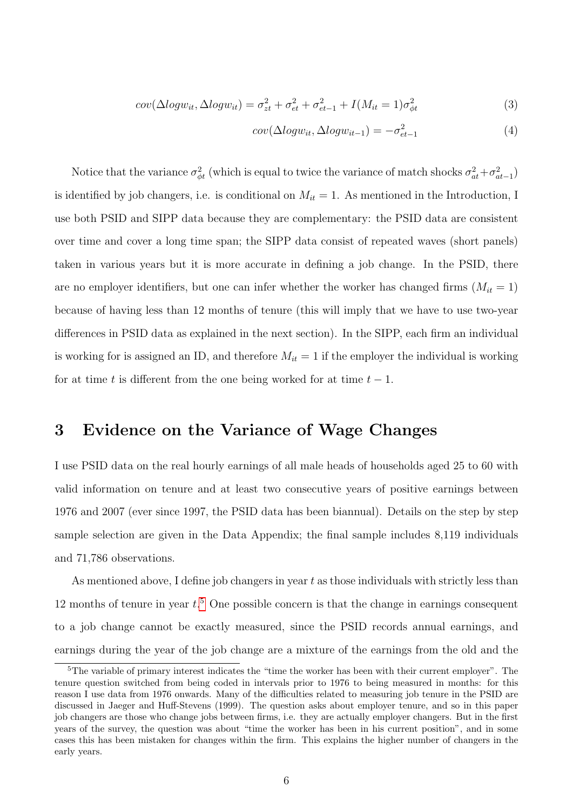<span id="page-6-2"></span>
$$
cov(\Delta log w_{it}, \Delta log w_{it}) = \sigma_{zt}^2 + \sigma_{et}^2 + \sigma_{et-1}^2 + I(M_{it} = 1)\sigma_{\phi t}^2
$$
\n(3)

$$
cov(\Delta log w_{it}, \Delta log w_{it-1}) = -\sigma_{et-1}^2 \tag{4}
$$

Notice that the variance  $\sigma_{\phi t}^2$  (which is equal to twice the variance of match shocks  $\sigma_{at}^2 + \sigma_{at-1}^2$ ) is identified by job changers, i.e. is conditional on  $M_{it} = 1$ . As mentioned in the Introduction, I use both PSID and SIPP data because they are complementary: the PSID data are consistent over time and cover a long time span; the SIPP data consist of repeated waves (short panels) taken in various years but it is more accurate in defining a job change. In the PSID, there are no employer identifiers, but one can infer whether the worker has changed firms  $(M_{it} = 1)$ because of having less than 12 months of tenure (this will imply that we have to use two-year differences in PSID data as explained in the next section). In the SIPP, each firm an individual is working for is assigned an ID, and therefore  $M_{it} = 1$  if the employer the individual is working for at time t is different from the one being worked for at time  $t - 1$ .

### <span id="page-6-0"></span>3 Evidence on the Variance of Wage Changes

I use PSID data on the real hourly earnings of all male heads of households aged 25 to 60 with valid information on tenure and at least two consecutive years of positive earnings between 1976 and 2007 (ever since 1997, the PSID data has been biannual). Details on the step by step sample selection are given in the Data Appendix; the final sample includes 8,119 individuals and 71,786 observations.

As mentioned above, I define job changers in year  $t$  as those individuals with strictly less than 12 months of tenure in year  $t^5$  $t^5$ . One possible concern is that the change in earnings consequent to a job change cannot be exactly measured, since the PSID records annual earnings, and earnings during the year of the job change are a mixture of the earnings from the old and the

<span id="page-6-1"></span><sup>&</sup>lt;sup>5</sup>The variable of primary interest indicates the "time the worker has been with their current employer". The tenure question switched from being coded in intervals prior to 1976 to being measured in months: for this reason I use data from 1976 onwards. Many of the difficulties related to measuring job tenure in the PSID are discussed in Jaeger and Huff-Stevens (1999). The question asks about employer tenure, and so in this paper job changers are those who change jobs between firms, i.e. they are actually employer changers. But in the first years of the survey, the question was about "time the worker has been in his current position", and in some cases this has been mistaken for changes within the firm. This explains the higher number of changers in the early years.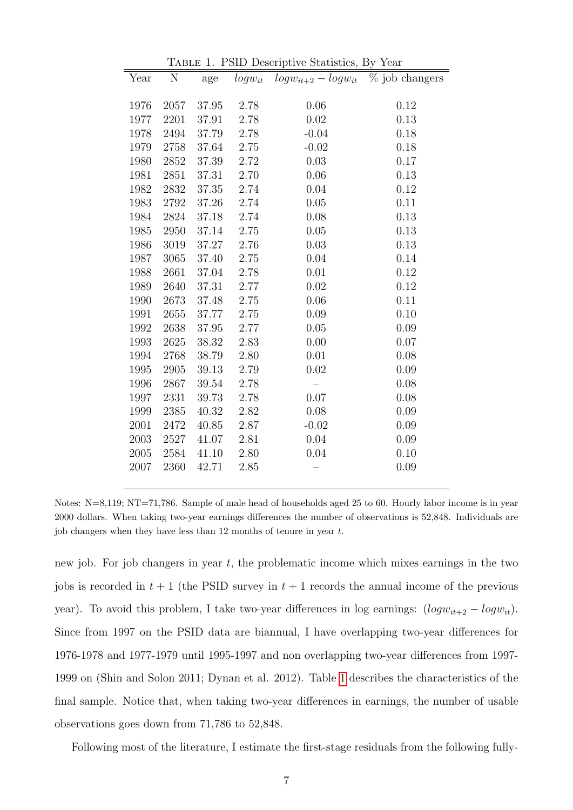<span id="page-7-0"></span>

| TABLE 1. FSID Descriptive Statistics, by rear |                    |       |              |         |  |                                            |  |
|-----------------------------------------------|--------------------|-------|--------------|---------|--|--------------------------------------------|--|
| Year                                          | $\overline{\rm N}$ | age   | $log w_{it}$ |         |  | $log w_{it+2} - log w_{it}$ % job changers |  |
|                                               |                    |       |              |         |  |                                            |  |
| 1976                                          | 2057               | 37.95 | 2.78         | 0.06    |  | 0.12                                       |  |
| 1977                                          | 2201               | 37.91 | 2.78         | 0.02    |  | 0.13                                       |  |
| 1978                                          | 2494               | 37.79 | 2.78         | $-0.04$ |  | 0.18                                       |  |
| 1979                                          | 2758               | 37.64 | 2.75         | $-0.02$ |  | 0.18                                       |  |
| 1980                                          | 2852               | 37.39 | 2.72         | 0.03    |  | 0.17                                       |  |
| 1981                                          | 2851               | 37.31 | 2.70         | 0.06    |  | 0.13                                       |  |
| 1982                                          | 2832               | 37.35 | 2.74         | 0.04    |  | 0.12                                       |  |
| 1983                                          | 2792               | 37.26 | 2.74         | 0.05    |  | 0.11                                       |  |
| 1984                                          | 2824               | 37.18 | 2.74         | 0.08    |  | 0.13                                       |  |
| 1985                                          | 2950               | 37.14 | 2.75         | 0.05    |  | 0.13                                       |  |
| 1986                                          | 3019               | 37.27 | 2.76         | 0.03    |  | 0.13                                       |  |
| 1987                                          | 3065               | 37.40 | 2.75         | 0.04    |  | 0.14                                       |  |
| 1988                                          | 2661               | 37.04 | 2.78         | 0.01    |  | 0.12                                       |  |
| 1989                                          | 2640               | 37.31 | 2.77         | 0.02    |  | 0.12                                       |  |
| 1990                                          | 2673               | 37.48 | 2.75         | 0.06    |  | 0.11                                       |  |
| 1991                                          | 2655               | 37.77 | 2.75         | 0.09    |  | 0.10                                       |  |
| 1992                                          | 2638               | 37.95 | 2.77         | 0.05    |  | 0.09                                       |  |
| 1993                                          | 2625               | 38.32 | 2.83         | 0.00    |  | 0.07                                       |  |
| 1994                                          | 2768               | 38.79 | 2.80         | 0.01    |  | 0.08                                       |  |
| 1995                                          | 2905               | 39.13 | 2.79         | 0.02    |  | 0.09                                       |  |
| 1996                                          | 2867               | 39.54 | 2.78         |         |  | 0.08                                       |  |
| 1997                                          | 2331               | 39.73 | 2.78         | 0.07    |  | 0.08                                       |  |
| 1999                                          | 2385               | 40.32 | 2.82         | 0.08    |  | 0.09                                       |  |
| 2001                                          | 2472               | 40.85 | 2.87         | $-0.02$ |  | 0.09                                       |  |
| 2003                                          | 2527               | 41.07 | 2.81         | 0.04    |  | 0.09                                       |  |
| 2005                                          | 2584               | 41.10 | 2.80         | 0.04    |  | 0.10                                       |  |
| 2007                                          | 2360               | 42.71 | 2.85         |         |  | 0.09                                       |  |
|                                               |                    |       |              |         |  |                                            |  |

Table 1. PSID Descriptive Statistics, By Year

Notes: N=8,119; NT=71,786. Sample of male head of households aged 25 to 60. Hourly labor income is in year 2000 dollars. When taking two-year earnings differences the number of observations is 52,848. Individuals are job changers when they have less than 12 months of tenure in year t.

new job. For job changers in year  $t$ , the problematic income which mixes earnings in the two jobs is recorded in  $t + 1$  (the PSID survey in  $t + 1$  records the annual income of the previous year). To avoid this problem, I take two-year differences in log earnings:  $(log w_{it+2} - log w_{it})$ . Since from 1997 on the PSID data are biannual, I have overlapping two-year differences for 1976-1978 and 1977-1979 until 1995-1997 and non overlapping two-year differences from 1997- 1999 on (Shin and Solon 2011; Dynan et al. 2012). Table [1](#page-7-0) describes the characteristics of the final sample. Notice that, when taking two-year differences in earnings, the number of usable observations goes down from 71,786 to 52,848.

Following most of the literature, I estimate the first-stage residuals from the following fully-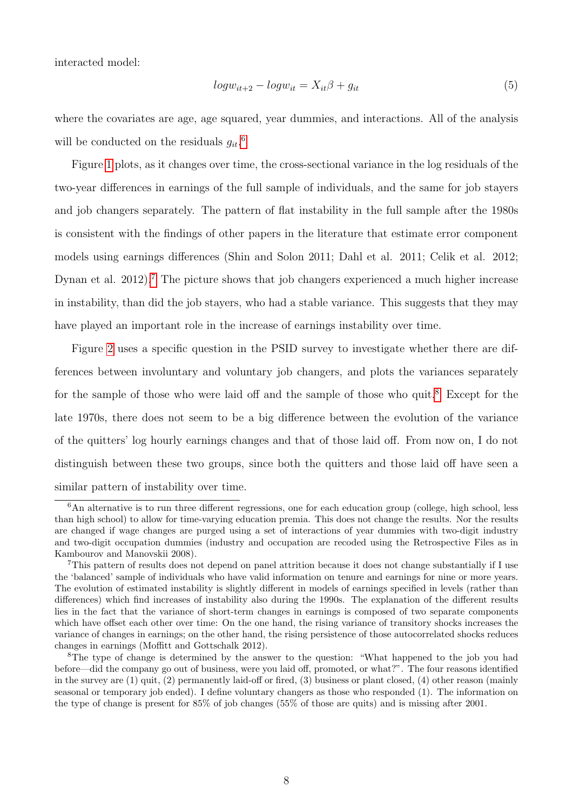interacted model:

$$
log w_{it+2} - log w_{it} = X_{it}\beta + g_{it}
$$
\n<sup>(5)</sup>

where the covariates are age, age squared, year dummies, and interactions. All of the analysis will be conducted on the residuals  $g_{it}$ <sup>[6](#page-8-0)</sup>

Figure [1](#page-9-0) plots, as it changes over time, the cross-sectional variance in the log residuals of the two-year differences in earnings of the full sample of individuals, and the same for job stayers and job changers separately. The pattern of flat instability in the full sample after the 1980s is consistent with the findings of other papers in the literature that estimate error component models using earnings differences (Shin and Solon 2011; Dahl et al. 2011; Celik et al. 2012; Dynan et al. 2012).<sup>[7](#page-8-1)</sup> The picture shows that job changers experienced a much higher increase in instability, than did the job stayers, who had a stable variance. This suggests that they may have played an important role in the increase of earnings instability over time.

Figure [2](#page-10-0) uses a specific question in the PSID survey to investigate whether there are differences between involuntary and voluntary job changers, and plots the variances separately for the sample of those who were laid off and the sample of those who quit.<sup>[8](#page-8-2)</sup> Except for the late 1970s, there does not seem to be a big difference between the evolution of the variance of the quitters' log hourly earnings changes and that of those laid off. From now on, I do not distinguish between these two groups, since both the quitters and those laid off have seen a similar pattern of instability over time.

<span id="page-8-0"></span><sup>&</sup>lt;sup>6</sup>An alternative is to run three different regressions, one for each education group (college, high school, less than high school) to allow for time-varying education premia. This does not change the results. Nor the results are changed if wage changes are purged using a set of interactions of year dummies with two-digit industry and two-digit occupation dummies (industry and occupation are recoded using the Retrospective Files as in Kambourov and Manovskii 2008).

<span id="page-8-1"></span><sup>7</sup>This pattern of results does not depend on panel attrition because it does not change substantially if I use the 'balanced' sample of individuals who have valid information on tenure and earnings for nine or more years. The evolution of estimated instability is slightly different in models of earnings specified in levels (rather than differences) which find increases of instability also during the 1990s. The explanation of the different results lies in the fact that the variance of short-term changes in earnings is composed of two separate components which have offset each other over time: On the one hand, the rising variance of transitory shocks increases the variance of changes in earnings; on the other hand, the rising persistence of those autocorrelated shocks reduces changes in earnings (Moffitt and Gottschalk 2012).

<span id="page-8-2"></span><sup>&</sup>lt;sup>8</sup>The type of change is determined by the answer to the question: "What happened to the job you had before—did the company go out of business, were you laid off, promoted, or what?". The four reasons identified in the survey are (1) quit, (2) permanently laid-off or fired, (3) business or plant closed, (4) other reason (mainly seasonal or temporary job ended). I define voluntary changers as those who responded (1). The information on the type of change is present for 85% of job changes (55% of those are quits) and is missing after 2001.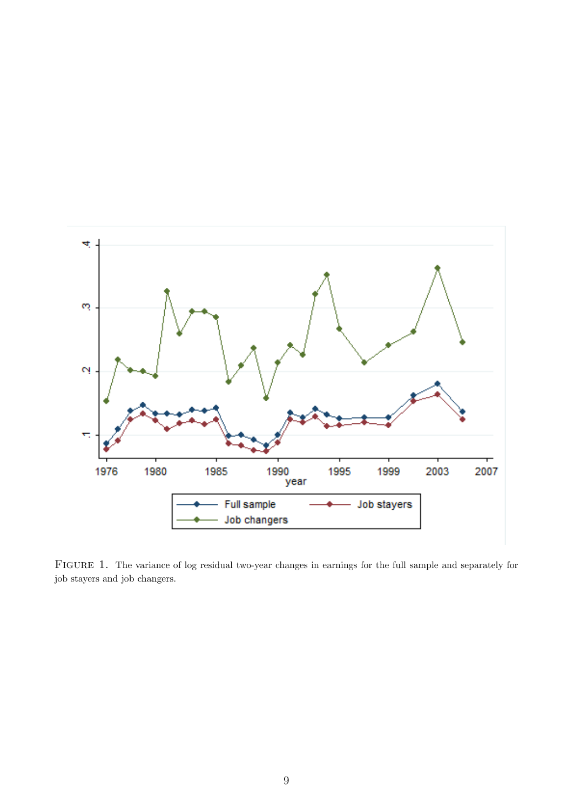<span id="page-9-0"></span>

FIGURE 1. The variance of log residual two-year changes in earnings for the full sample and separately for job stayers and job changers.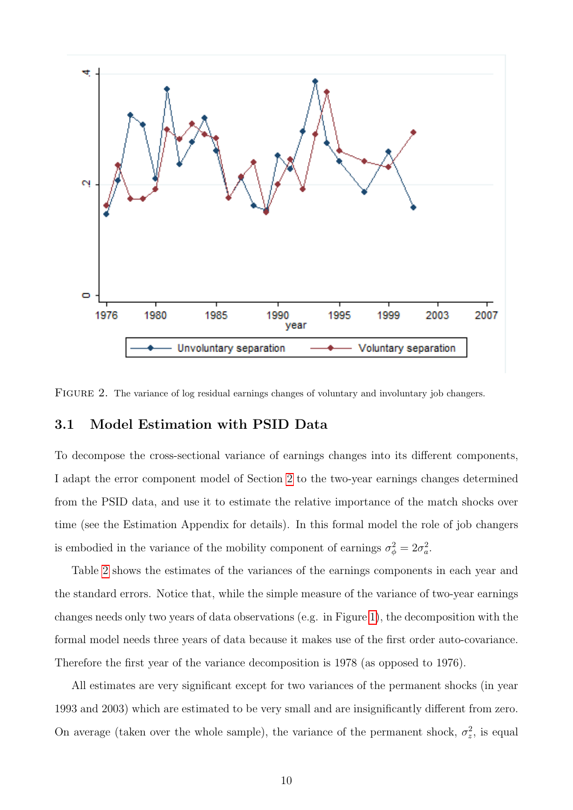<span id="page-10-0"></span>

FIGURE 2. The variance of log residual earnings changes of voluntary and involuntary job changers.

#### 3.1 Model Estimation with PSID Data

To decompose the cross-sectional variance of earnings changes into its different components, I adapt the error component model of Section [2](#page-4-0) to the two-year earnings changes determined from the PSID data, and use it to estimate the relative importance of the match shocks over time (see the Estimation Appendix for details). In this formal model the role of job changers is embodied in the variance of the mobility component of earnings  $\sigma_{\phi}^2 = 2\sigma_a^2$ .

Table [2](#page-11-0) shows the estimates of the variances of the earnings components in each year and the standard errors. Notice that, while the simple measure of the variance of two-year earnings changes needs only two years of data observations (e.g. in Figure [1\)](#page-9-0), the decomposition with the formal model needs three years of data because it makes use of the first order auto-covariance. Therefore the first year of the variance decomposition is 1978 (as opposed to 1976).

All estimates are very significant except for two variances of the permanent shocks (in year 1993 and 2003) which are estimated to be very small and are insignificantly different from zero. On average (taken over the whole sample), the variance of the permanent shock,  $\sigma_z^2$ , is equal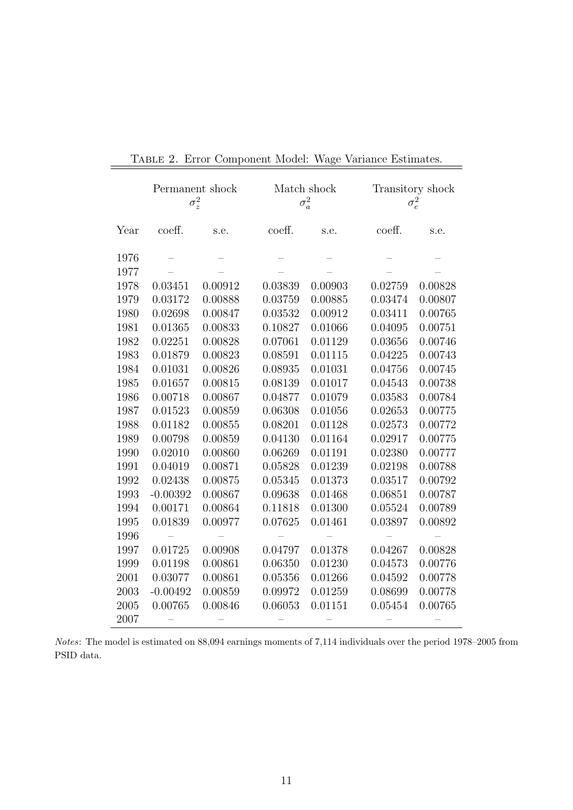<span id="page-11-0"></span>

|      | Permanent shock<br>$\sigma_z^2$ |         | Match shock<br>$\sigma_a^2$ |         | Transitory shock<br>$\sigma_e^2$ |         |  |
|------|---------------------------------|---------|-----------------------------|---------|----------------------------------|---------|--|
| Year | coeff.                          | s.e.    | coeff.                      | s.e.    | coeff.                           | s.e.    |  |
| 1976 |                                 |         |                             |         |                                  |         |  |
| 1977 |                                 |         |                             |         |                                  |         |  |
| 1978 | 0.03451                         | 0.00912 | 0.03839                     | 0.00903 | 0.02759                          | 0.00828 |  |
| 1979 | 0.03172                         | 0.00888 | 0.03759                     | 0.00885 | 0.03474                          | 0.00807 |  |
| 1980 | 0.02698                         | 0.00847 | 0.03532                     | 0.00912 | 0.03411                          | 0.00765 |  |
| 1981 | 0.01365                         | 0.00833 | 0.10827                     | 0.01066 | 0.04095                          | 0.00751 |  |
| 1982 | 0.02251                         | 0.00828 | 0.07061                     | 0.01129 | 0.03656                          | 0.00746 |  |
| 1983 | 0.01879                         | 0.00823 | 0.08591                     | 0.01115 | 0.04225                          | 0.00743 |  |
| 1984 | 0.01031                         | 0.00826 | 0.08935                     | 0.01031 | 0.04756                          | 0.00745 |  |
| 1985 | 0.01657                         | 0.00815 | 0.08139                     | 0.01017 | 0.04543                          | 0.00738 |  |
| 1986 | 0.00718                         | 0.00867 | 0.04877                     | 0.01079 | 0.03583                          | 0.00784 |  |
| 1987 | 0.01523                         | 0.00859 | 0.06308                     | 0.01056 | 0.02653                          | 0.00775 |  |
| 1988 | 0.01182                         | 0.00855 | 0.08201                     | 0.01128 | 0.02573                          | 0.00772 |  |
| 1989 | 0.00798                         | 0.00859 | 0.04130                     | 0.01164 | 0.02917                          | 0.00775 |  |
| 1990 | 0.02010                         | 0.00860 | 0.06269                     | 0.01191 | 0.02380                          | 0.00777 |  |
| 1991 | 0.04019                         | 0.00871 | 0.05828                     | 0.01239 | 0.02198                          | 0.00788 |  |
| 1992 | 0.02438                         | 0.00875 | 0.05345                     | 0.01373 | 0.03517                          | 0.00792 |  |
| 1993 | $-0.00392$                      | 0.00867 | 0.09638                     | 0.01468 | 0.06851                          | 0.00787 |  |
| 1994 | 0.00171                         | 0.00864 | 0.11818                     | 0.01300 | 0.05524                          | 0.00789 |  |
| 1995 | 0.01839                         | 0.00977 | 0.07625                     | 0.01461 | 0.03897                          | 0.00892 |  |
| 1996 |                                 |         |                             |         |                                  |         |  |
| 1997 | 0.01725                         | 0.00908 | 0.04797                     | 0.01378 | 0.04267                          | 0.00828 |  |
| 1999 | 0.01198                         | 0.00861 | 0.06350                     | 0.01230 | 0.04573                          | 0.00776 |  |
| 2001 | 0.03077                         | 0.00861 | 0.05356                     | 0.01266 | 0.04592                          | 0.00778 |  |
| 2003 | $-0.00492$                      | 0.00859 | 0.09972                     | 0.01259 | 0.08699                          | 0.00778 |  |
| 2005 | 0.00765                         | 0.00846 | 0.06053                     | 0.01151 | 0.05454                          | 0.00765 |  |
| 2007 |                                 |         |                             |         |                                  |         |  |

Table 2. Error Component Model: Wage Variance Estimates.

Notes: The model is estimated on 88,094 earnings moments of 7,114 individuals over the period 1978–2005 from PSID data.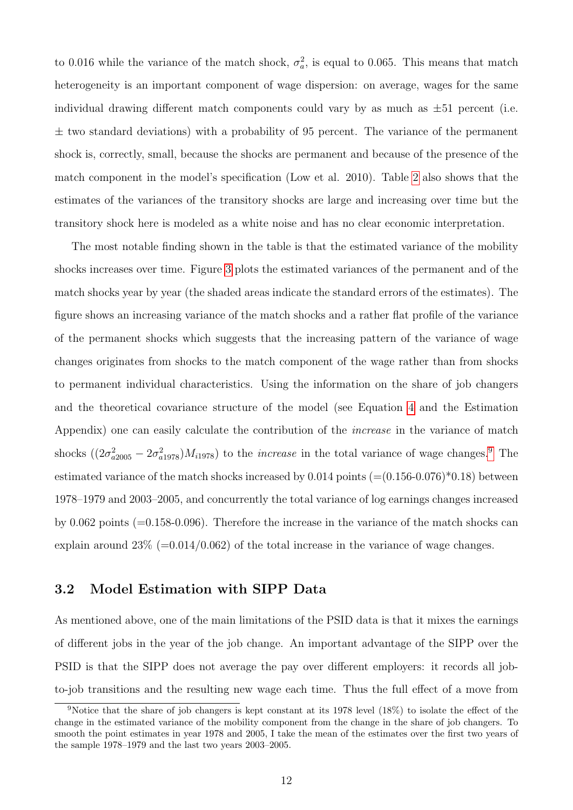to 0.016 while the variance of the match shock,  $\sigma_a^2$ , is equal to 0.065. This means that match heterogeneity is an important component of wage dispersion: on average, wages for the same individual drawing different match components could vary by as much as  $\pm 51$  percent (i.e.  $\pm$  two standard deviations) with a probability of 95 percent. The variance of the permanent shock is, correctly, small, because the shocks are permanent and because of the presence of the match component in the model's specification (Low et al. 2010). Table [2](#page-11-0) also shows that the estimates of the variances of the transitory shocks are large and increasing over time but the transitory shock here is modeled as a white noise and has no clear economic interpretation.

The most notable finding shown in the table is that the estimated variance of the mobility shocks increases over time. Figure [3](#page-13-0) plots the estimated variances of the permanent and of the match shocks year by year (the shaded areas indicate the standard errors of the estimates). The figure shows an increasing variance of the match shocks and a rather flat profile of the variance of the permanent shocks which suggests that the increasing pattern of the variance of wage changes originates from shocks to the match component of the wage rather than from shocks to permanent individual characteristics. Using the information on the share of job changers and the theoretical covariance structure of the model (see Equation [4](#page-6-2) and the Estimation Appendix) one can easily calculate the contribution of the increase in the variance of match shocks  $((2\sigma_{a2005}^2 - 2\sigma_{a1978}^2)M_{i1978})$  $((2\sigma_{a2005}^2 - 2\sigma_{a1978}^2)M_{i1978})$  $((2\sigma_{a2005}^2 - 2\sigma_{a1978}^2)M_{i1978})$  to the *increase* in the total variance of wage changes.<sup>9</sup> The estimated variance of the match shocks increased by 0.014 points  $(=(0.156-0.076)^*0.18)$  between 1978–1979 and 2003–2005, and concurrently the total variance of log earnings changes increased by 0.062 points  $(=0.158-0.096)$ . Therefore the increase in the variance of the match shocks can explain around  $23\%$  (=0.014/0.062) of the total increase in the variance of wage changes.

#### 3.2 Model Estimation with SIPP Data

As mentioned above, one of the main limitations of the PSID data is that it mixes the earnings of different jobs in the year of the job change. An important advantage of the SIPP over the PSID is that the SIPP does not average the pay over different employers: it records all jobto-job transitions and the resulting new wage each time. Thus the full effect of a move from

<span id="page-12-0"></span><sup>9</sup>Notice that the share of job changers is kept constant at its 1978 level (18%) to isolate the effect of the change in the estimated variance of the mobility component from the change in the share of job changers. To smooth the point estimates in year 1978 and 2005, I take the mean of the estimates over the first two years of the sample 1978–1979 and the last two years 2003–2005.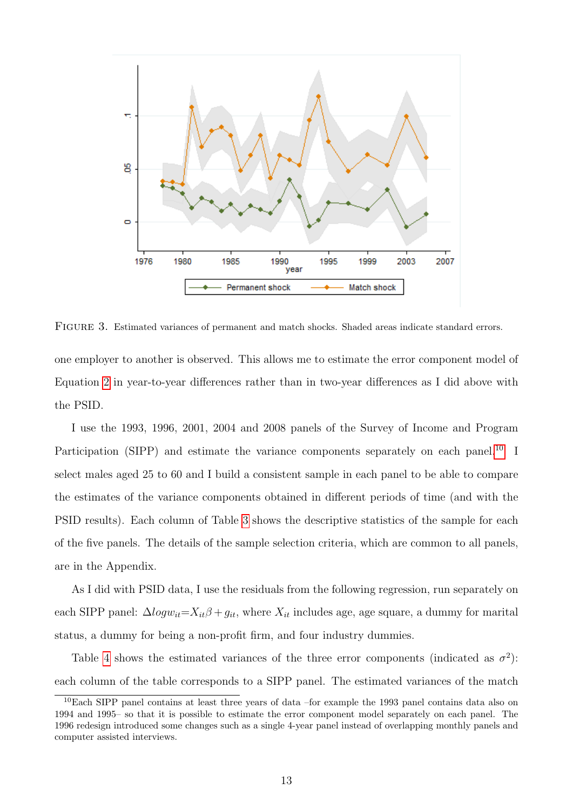<span id="page-13-0"></span>

FIGURE 3. Estimated variances of permanent and match shocks. Shaded areas indicate standard errors.

one employer to another is observed. This allows me to estimate the error component model of Equation [2](#page-5-0) in year-to-year differences rather than in two-year differences as I did above with the PSID.

I use the 1993, 1996, 2001, 2004 and 2008 panels of the Survey of Income and Program Participation (SIPP) and estimate the variance components separately on each panel.<sup>[10](#page-13-1)</sup> I select males aged 25 to 60 and I build a consistent sample in each panel to be able to compare the estimates of the variance components obtained in different periods of time (and with the PSID results). Each column of Table [3](#page-14-0) shows the descriptive statistics of the sample for each of the five panels. The details of the sample selection criteria, which are common to all panels, are in the Appendix.

As I did with PSID data, I use the residuals from the following regression, run separately on each SIPP panel:  $\Delta log w_{it} = X_{it} \beta + g_{it}$ , where  $X_{it}$  includes age, age square, a dummy for marital status, a dummy for being a non-profit firm, and four industry dummies.

Table [4](#page-15-0) shows the estimated variances of the three error components (indicated as  $\sigma^2$ ): each column of the table corresponds to a SIPP panel. The estimated variances of the match

<span id="page-13-1"></span> $10$ Each SIPP panel contains at least three years of data –for example the 1993 panel contains data also on 1994 and 1995– so that it is possible to estimate the error component model separately on each panel. The 1996 redesign introduced some changes such as a single 4-year panel instead of overlapping monthly panels and computer assisted interviews.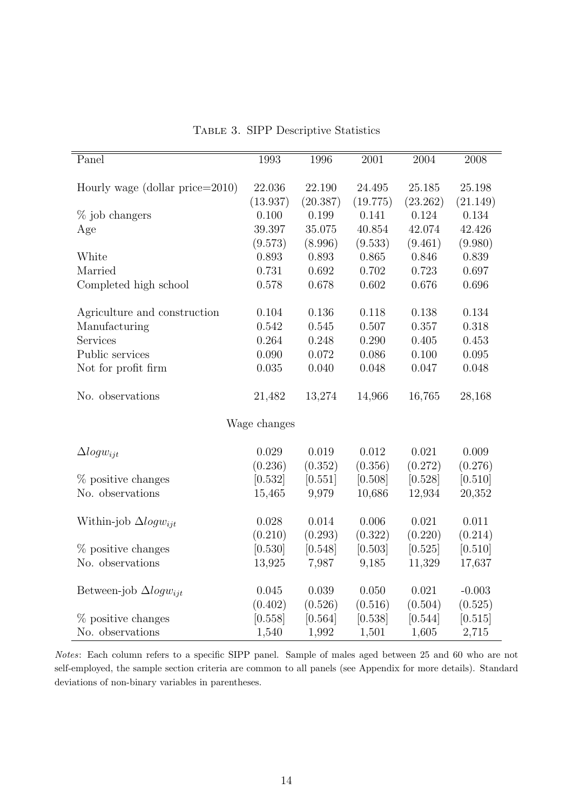<span id="page-14-0"></span>

| Panel                            | 1993     | 1996        | 2001     | 2004     | 2008     |  |  |  |
|----------------------------------|----------|-------------|----------|----------|----------|--|--|--|
|                                  |          |             |          |          |          |  |  |  |
| Hourly wage (dollar price=2010)  | 22.036   | 22.190      | 24.495   | 25.185   | 25.198   |  |  |  |
|                                  | (13.937) | (20.387)    | (19.775) | (23.262) | (21.149) |  |  |  |
| $%$ job changers                 | 0.100    | 0.199       | 0.141    | 0.124    | 0.134    |  |  |  |
| Age                              | 39.397   | 35.075      | 40.854   | 42.074   | 42.426   |  |  |  |
|                                  | (9.573)  | (8.996)     | (9.533)  | (9.461)  | (9.980)  |  |  |  |
| White                            | 0.893    | 0.893       | 0.865    | 0.846    | 0.839    |  |  |  |
| Married                          | 0.731    | $\,0.692\,$ | 0.702    | 0.723    | 0.697    |  |  |  |
| Completed high school            | 0.578    | 0.678       | 0.602    | 0.676    | 0.696    |  |  |  |
|                                  |          |             |          |          |          |  |  |  |
| Agriculture and construction     | 0.104    | 0.136       | 0.118    | 0.138    | 0.134    |  |  |  |
| Manufacturing                    | 0.542    | 0.545       | 0.507    | 0.357    | 0.318    |  |  |  |
| Services                         | 0.264    | 0.248       | 0.290    | 0.405    | 0.453    |  |  |  |
| Public services                  | 0.090    | 0.072       | 0.086    | 0.100    | 0.095    |  |  |  |
| Not for profit firm              | 0.035    | 0.040       | 0.048    | 0.047    | 0.048    |  |  |  |
|                                  |          |             |          |          |          |  |  |  |
| No. observations                 | 21,482   | 13,274      | 14,966   | 16,765   | 28,168   |  |  |  |
|                                  |          |             |          |          |          |  |  |  |
| Wage changes                     |          |             |          |          |          |  |  |  |
|                                  |          |             |          |          |          |  |  |  |
| $\Delta log w_{iit}$             | 0.029    | 0.019       | 0.012    | 0.021    | 0.009    |  |  |  |
|                                  | (0.236)  | (0.352)     | (0.356)  | (0.272)  | (0.276)  |  |  |  |
| $%$ positive changes             | [0.532]  | [0.551]     | [0.508]  | [0.528]  | [0.510]  |  |  |  |
| No. observations                 | 15,465   | 9,979       | 10,686   | 12,934   | 20,352   |  |  |  |
|                                  |          |             |          |          |          |  |  |  |
| Within-job $\Delta log w_{ijt}$  | 0.028    | 0.014       | 0.006    | 0.021    | 0.011    |  |  |  |
|                                  | (0.210)  | (0.293)     | (0.322)  | (0.220)  | (0.214)  |  |  |  |
| $%$ positive changes             | [0.530]  | [0.548]     | [0.503]  | [0.525]  | [0.510]  |  |  |  |
| No. observations                 | 13,925   | 7,987       | 9,185    | 11,329   | 17,637   |  |  |  |
|                                  |          |             |          |          |          |  |  |  |
| Between-job $\Delta log w_{iit}$ | 0.045    | 0.039       | 0.050    | 0.021    | $-0.003$ |  |  |  |
|                                  | (0.402)  | (0.526)     | (0.516)  | (0.504)  | (0.525)  |  |  |  |
| $%$ positive changes             | [0.558]  | [0.564]     | [0.538]  | [0.544]  | [0.515]  |  |  |  |
| No. observations                 | 1,540    | 1,992       | 1,501    | 1,605    | 2,715    |  |  |  |
|                                  |          |             |          |          |          |  |  |  |

Table 3. SIPP Descriptive Statistics

Notes: Each column refers to a specific SIPP panel. Sample of males aged between 25 and 60 who are not self-employed, the sample section criteria are common to all panels (see Appendix for more details). Standard deviations of non-binary variables in parentheses.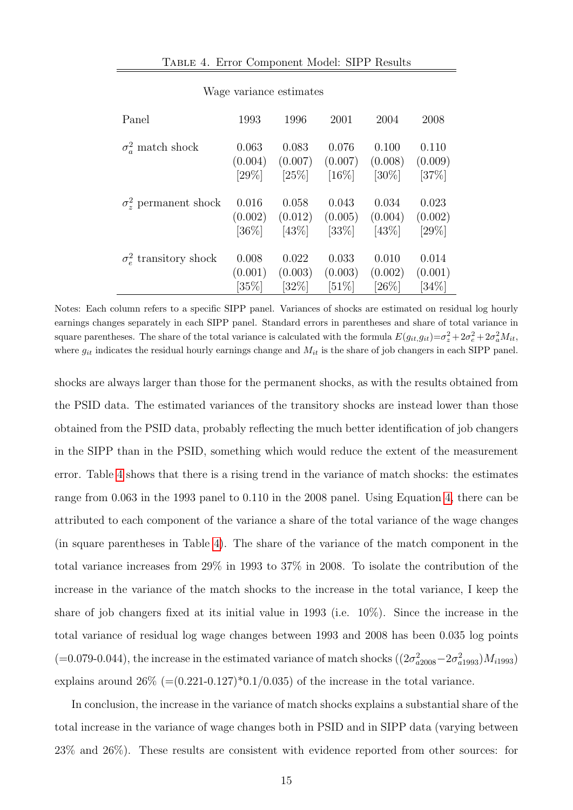<span id="page-15-0"></span>

| Panel                         | 1993     | 1996     | 2001     | 2004     | 2008     |
|-------------------------------|----------|----------|----------|----------|----------|
| $\sigma_a^2$ match shock      | 0.063    | 0.083    | 0.076    | 0.100    | 0.110    |
|                               | (0.004)  | (0.007)  | (0.007)  | (0.008)  | (0.009)  |
|                               | $[29\%]$ | $[25\%]$ | $[16\%]$ | $[30\%]$ | $[37\%]$ |
| $\sigma^2$ permanent shock    | 0.016    | 0.058    | 0.043    | 0.034    | 0.023    |
|                               | (0.002)  | (0.012)  | (0.005)  | (0.004)  | (0.002)  |
|                               | [36%]    | $[43\%]$ | $[33\%]$ | $[43\%]$ | $[29\%]$ |
| $\sigma_e^2$ transitory shock | 0.008    | 0.022    | 0.033    | 0.010    | 0.014    |
|                               | (0.001)  | (0.003)  | (0.003)  | (0.002)  | (0.001)  |
|                               | $[35\%]$ | $[32\%]$ | $[51\%]$ | $[26\%]$ | [34%]    |

Wage variance estimates

Notes: Each column refers to a specific SIPP panel. Variances of shocks are estimated on residual log hourly earnings changes separately in each SIPP panel. Standard errors in parentheses and share of total variance in square parentheses. The share of the total variance is calculated with the formula  $E(g_{it}, g_{it}) = \sigma_z^2 + 2\sigma_e^2 + 2\sigma_a^2 M_{it}$ where  $g_{it}$  indicates the residual hourly earnings change and  $M_{it}$  is the share of job changers in each SIPP panel.

shocks are always larger than those for the permanent shocks, as with the results obtained from the PSID data. The estimated variances of the transitory shocks are instead lower than those obtained from the PSID data, probably reflecting the much better identification of job changers in the SIPP than in the PSID, something which would reduce the extent of the measurement error. Table [4](#page-15-0) shows that there is a rising trend in the variance of match shocks: the estimates range from 0.063 in the 1993 panel to 0.110 in the 2008 panel. Using Equation [4,](#page-6-2) there can be attributed to each component of the variance a share of the total variance of the wage changes (in square parentheses in Table [4\)](#page-15-0). The share of the variance of the match component in the total variance increases from 29% in 1993 to 37% in 2008. To isolate the contribution of the increase in the variance of the match shocks to the increase in the total variance, I keep the share of job changers fixed at its initial value in 1993 (i.e.  $10\%$ ). Since the increase in the total variance of residual log wage changes between 1993 and 2008 has been 0.035 log points  $(=0.079-0.044)$ , the increase in the estimated variance of match shocks  $((2\sigma_{a2008}^2 - 2\sigma_{a1993}^2)M_{i1993})$ explains around  $26\%$  (=(0.221-0.127)\*0.1/0.035) of the increase in the total variance.

In conclusion, the increase in the variance of match shocks explains a substantial share of the total increase in the variance of wage changes both in PSID and in SIPP data (varying between 23% and 26%). These results are consistent with evidence reported from other sources: for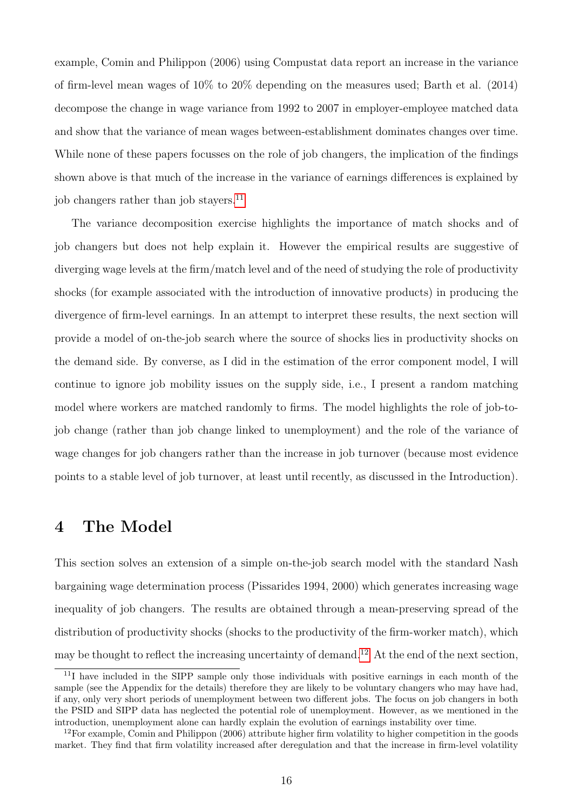example, Comin and Philippon (2006) using Compustat data report an increase in the variance of firm-level mean wages of 10% to 20% depending on the measures used; Barth et al. (2014) decompose the change in wage variance from 1992 to 2007 in employer-employee matched data and show that the variance of mean wages between-establishment dominates changes over time. While none of these papers focusses on the role of job changers, the implication of the findings shown above is that much of the increase in the variance of earnings differences is explained by job changers rather than job stayers.<sup>[11](#page-16-1)</sup>

The variance decomposition exercise highlights the importance of match shocks and of job changers but does not help explain it. However the empirical results are suggestive of diverging wage levels at the firm/match level and of the need of studying the role of productivity shocks (for example associated with the introduction of innovative products) in producing the divergence of firm-level earnings. In an attempt to interpret these results, the next section will provide a model of on-the-job search where the source of shocks lies in productivity shocks on the demand side. By converse, as I did in the estimation of the error component model, I will continue to ignore job mobility issues on the supply side, i.e., I present a random matching model where workers are matched randomly to firms. The model highlights the role of job-tojob change (rather than job change linked to unemployment) and the role of the variance of wage changes for job changers rather than the increase in job turnover (because most evidence points to a stable level of job turnover, at least until recently, as discussed in the Introduction).

### <span id="page-16-0"></span>4 The Model

This section solves an extension of a simple on-the-job search model with the standard Nash bargaining wage determination process (Pissarides 1994, 2000) which generates increasing wage inequality of job changers. The results are obtained through a mean-preserving spread of the distribution of productivity shocks (shocks to the productivity of the firm-worker match), which may be thought to reflect the increasing uncertainty of demand.<sup>[12](#page-16-2)</sup> At the end of the next section,

<span id="page-16-1"></span><sup>&</sup>lt;sup>11</sup>I have included in the SIPP sample only those individuals with positive earnings in each month of the sample (see the Appendix for the details) therefore they are likely to be voluntary changers who may have had, if any, only very short periods of unemployment between two different jobs. The focus on job changers in both the PSID and SIPP data has neglected the potential role of unemployment. However, as we mentioned in the introduction, unemployment alone can hardly explain the evolution of earnings instability over time.

<span id="page-16-2"></span><sup>12</sup>For example, Comin and Philippon (2006) attribute higher firm volatility to higher competition in the goods market. They find that firm volatility increased after deregulation and that the increase in firm-level volatility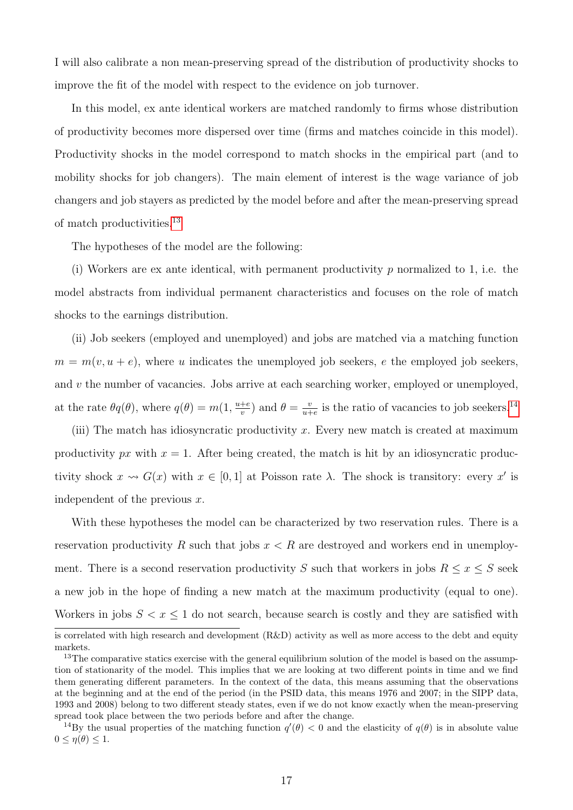I will also calibrate a non mean-preserving spread of the distribution of productivity shocks to improve the fit of the model with respect to the evidence on job turnover.

In this model, ex ante identical workers are matched randomly to firms whose distribution of productivity becomes more dispersed over time (firms and matches coincide in this model). Productivity shocks in the model correspond to match shocks in the empirical part (and to mobility shocks for job changers). The main element of interest is the wage variance of job changers and job stayers as predicted by the model before and after the mean-preserving spread of match productivities.[13](#page-17-0)

The hypotheses of the model are the following:

(i) Workers are ex ante identical, with permanent productivity p normalized to 1, i.e. the model abstracts from individual permanent characteristics and focuses on the role of match shocks to the earnings distribution.

(ii) Job seekers (employed and unemployed) and jobs are matched via a matching function  $m = m(v, u + e)$ , where u indicates the unemployed job seekers, e the employed job seekers, and  $v$  the number of vacancies. Jobs arrive at each searching worker, employed or unemployed, at the rate  $\theta q(\theta)$ , where  $q(\theta) = m(1, \frac{u+e}{u})$  $\frac{+e}{v}$ ) and  $\theta = \frac{v}{u+1}$  $\frac{v}{u+e}$  is the ratio of vacancies to job seekers.<sup>[14](#page-17-1)</sup>

(iii) The match has idiosyncratic productivity x. Every new match is created at maximum productivity px with  $x = 1$ . After being created, the match is hit by an idiosyncratic productivity shock  $x \rightsquigarrow G(x)$  with  $x \in [0,1]$  at Poisson rate  $\lambda$ . The shock is transitory: every  $x'$  is independent of the previous  $x$ .

With these hypotheses the model can be characterized by two reservation rules. There is a reservation productivity R such that jobs  $x < R$  are destroyed and workers end in unemployment. There is a second reservation productivity S such that workers in jobs  $R \leq x \leq S$  seek a new job in the hope of finding a new match at the maximum productivity (equal to one). Workers in jobs  $S < x \leq 1$  do not search, because search is costly and they are satisfied with

is correlated with high research and development (R&D) activity as well as more access to the debt and equity markets.

<span id="page-17-0"></span><sup>&</sup>lt;sup>13</sup>The comparative statics exercise with the general equilibrium solution of the model is based on the assumption of stationarity of the model. This implies that we are looking at two different points in time and we find them generating different parameters. In the context of the data, this means assuming that the observations at the beginning and at the end of the period (in the PSID data, this means 1976 and 2007; in the SIPP data, 1993 and 2008) belong to two different steady states, even if we do not know exactly when the mean-preserving spread took place between the two periods before and after the change.

<span id="page-17-1"></span><sup>&</sup>lt;sup>14</sup>By the usual properties of the matching function  $q'(\theta) < 0$  and the elasticity of  $q(\theta)$  is in absolute value  $0 \leq \eta(\theta) \leq 1$ .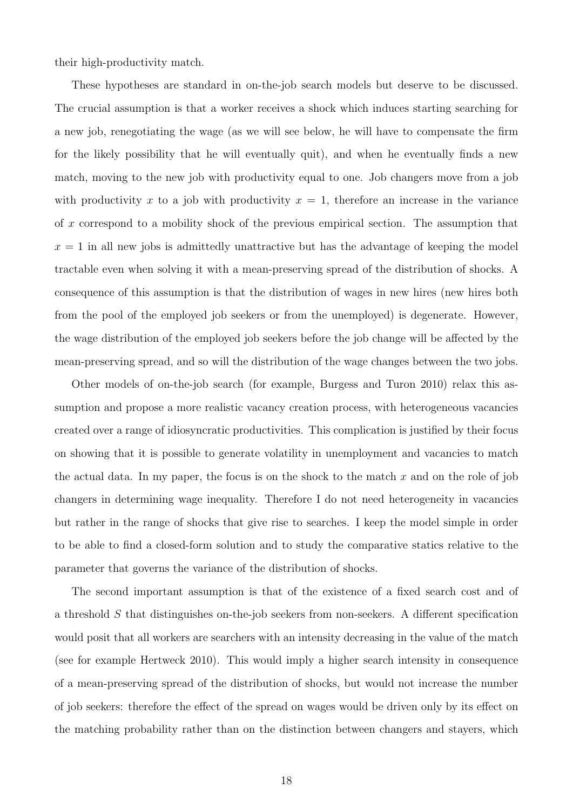their high-productivity match.

These hypotheses are standard in on-the-job search models but deserve to be discussed. The crucial assumption is that a worker receives a shock which induces starting searching for a new job, renegotiating the wage (as we will see below, he will have to compensate the firm for the likely possibility that he will eventually quit), and when he eventually finds a new match, moving to the new job with productivity equal to one. Job changers move from a job with productivity x to a job with productivity  $x = 1$ , therefore an increase in the variance of x correspond to a mobility shock of the previous empirical section. The assumption that  $x = 1$  in all new jobs is admittedly unattractive but has the advantage of keeping the model tractable even when solving it with a mean-preserving spread of the distribution of shocks. A consequence of this assumption is that the distribution of wages in new hires (new hires both from the pool of the employed job seekers or from the unemployed) is degenerate. However, the wage distribution of the employed job seekers before the job change will be affected by the mean-preserving spread, and so will the distribution of the wage changes between the two jobs.

Other models of on-the-job search (for example, Burgess and Turon 2010) relax this assumption and propose a more realistic vacancy creation process, with heterogeneous vacancies created over a range of idiosyncratic productivities. This complication is justified by their focus on showing that it is possible to generate volatility in unemployment and vacancies to match the actual data. In my paper, the focus is on the shock to the match  $x$  and on the role of job changers in determining wage inequality. Therefore I do not need heterogeneity in vacancies but rather in the range of shocks that give rise to searches. I keep the model simple in order to be able to find a closed-form solution and to study the comparative statics relative to the parameter that governs the variance of the distribution of shocks.

The second important assumption is that of the existence of a fixed search cost and of a threshold S that distinguishes on-the-job seekers from non-seekers. A different specification would posit that all workers are searchers with an intensity decreasing in the value of the match (see for example Hertweck 2010). This would imply a higher search intensity in consequence of a mean-preserving spread of the distribution of shocks, but would not increase the number of job seekers: therefore the effect of the spread on wages would be driven only by its effect on the matching probability rather than on the distinction between changers and stayers, which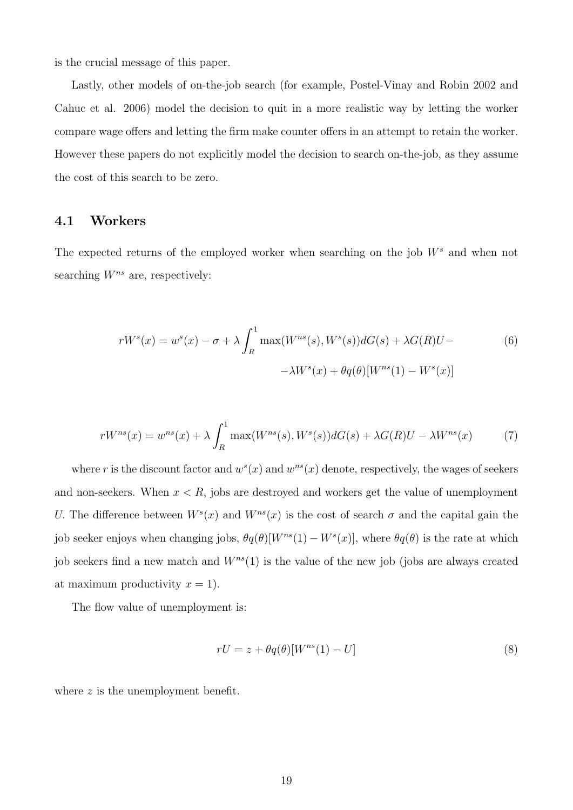is the crucial message of this paper.

Lastly, other models of on-the-job search (for example, Postel-Vinay and Robin 2002 and Cahuc et al. 2006) model the decision to quit in a more realistic way by letting the worker compare wage offers and letting the firm make counter offers in an attempt to retain the worker. However these papers do not explicitly model the decision to search on-the-job, as they assume the cost of this search to be zero.

#### 4.1 Workers

The expected returns of the employed worker when searching on the job  $W^s$  and when not searching  $W^{ns}$  are, respectively:

$$
rWs(x) = ws(x) - \sigma + \lambda \int_{R}^{1} \max(W^{ns}(s), W^{s}(s))dG(s) + \lambda G(R)U -
$$
  
 
$$
-\lambda W^{s}(x) + \theta q(\theta)[W^{ns}(1) - W^{s}(x)]
$$
(6)

$$
rW^{ns}(x) = w^{ns}(x) + \lambda \int_{R}^{1} \max(W^{ns}(s), W^{s}(s))dG(s) + \lambda G(R)U - \lambda W^{ns}(x) \tag{7}
$$

where r is the discount factor and  $w^s(x)$  and  $w^{ns}(x)$  denote, respectively, the wages of seekers and non-seekers. When  $x < R$ , jobs are destroyed and workers get the value of unemployment U. The difference between  $W^s(x)$  and  $W^{ns}(x)$  is the cost of search  $\sigma$  and the capital gain the job seeker enjoys when changing jobs,  $\theta q(\theta)[W^{ns}(1) - W^{s}(x)]$ , where  $\theta q(\theta)$  is the rate at which job seekers find a new match and  $W^{ns}(1)$  is the value of the new job (jobs are always created at maximum productivity  $x = 1$ .

The flow value of unemployment is:

$$
rU = z + \theta q(\theta)[W^{ns}(1) - U] \tag{8}
$$

where z is the unemployment benefit.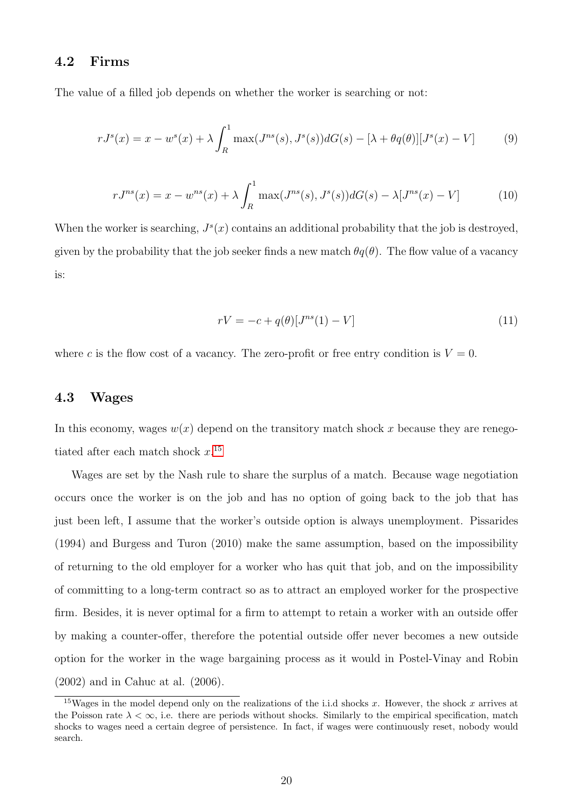#### 4.2 Firms

The value of a filled job depends on whether the worker is searching or not:

$$
rJ^{s}(x) = x - w^{s}(x) + \lambda \int_{R}^{1} \max(J^{ns}(s), J^{s}(s)) dG(s) - [\lambda + \theta q(\theta)][J^{s}(x) - V] \tag{9}
$$

$$
rJ^{ns}(x) = x - w^{ns}(x) + \lambda \int_{R}^{1} \max(J^{ns}(s), J^{s}(s)) dG(s) - \lambda [J^{ns}(x) - V] \tag{10}
$$

When the worker is searching,  $J<sup>s</sup>(x)$  contains an additional probability that the job is destroyed, given by the probability that the job seeker finds a new match  $\theta q(\theta)$ . The flow value of a vacancy is:

$$
rV = -c + q(\theta)[J^{ns}(1) - V] \tag{11}
$$

where c is the flow cost of a vacancy. The zero-profit or free entry condition is  $V = 0$ .

#### 4.3 Wages

In this economy, wages  $w(x)$  depend on the transitory match shock x because they are renegotiated after each match shock  $x$ <sup>[15](#page-20-0)</sup>

Wages are set by the Nash rule to share the surplus of a match. Because wage negotiation occurs once the worker is on the job and has no option of going back to the job that has just been left, I assume that the worker's outside option is always unemployment. Pissarides (1994) and Burgess and Turon (2010) make the same assumption, based on the impossibility of returning to the old employer for a worker who has quit that job, and on the impossibility of committing to a long-term contract so as to attract an employed worker for the prospective firm. Besides, it is never optimal for a firm to attempt to retain a worker with an outside offer by making a counter-offer, therefore the potential outside offer never becomes a new outside option for the worker in the wage bargaining process as it would in Postel-Vinay and Robin (2002) and in Cahuc at al. (2006).

<span id="page-20-0"></span><sup>&</sup>lt;sup>15</sup>Wages in the model depend only on the realizations of the i.i.d shocks x. However, the shock x arrives at the Poisson rate  $\lambda < \infty$ , i.e. there are periods without shocks. Similarly to the empirical specification, match shocks to wages need a certain degree of persistence. In fact, if wages were continuously reset, nobody would search.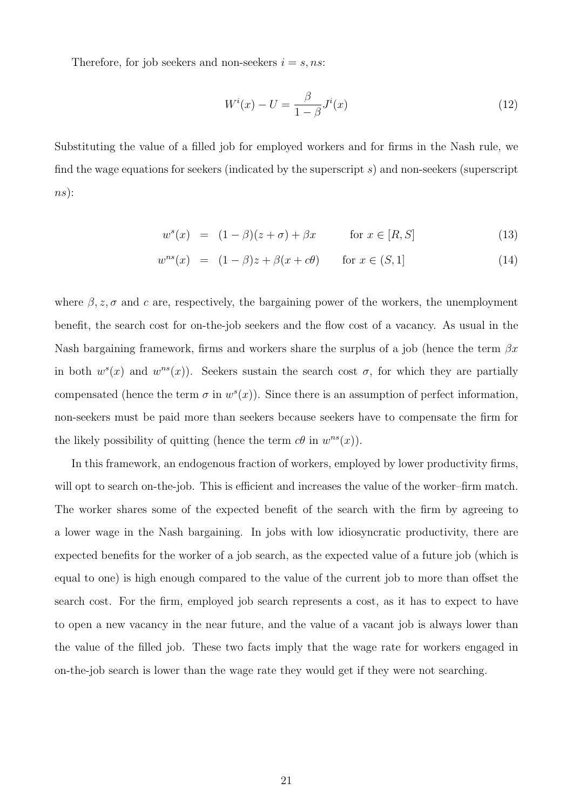Therefore, for job seekers and non-seekers  $i = s$ , ns:

$$
W^{i}(x) - U = \frac{\beta}{1 - \beta} J^{i}(x)
$$
\n(12)

Substituting the value of a filled job for employed workers and for firms in the Nash rule, we find the wage equations for seekers (indicated by the superscript  $s$ ) and non-seekers (superscript  $ns)$ :

$$
w^{s}(x) = (1 - \beta)(z + \sigma) + \beta x \qquad \text{for } x \in [R, S] \tag{13}
$$

$$
w^{ns}(x) = (1 - \beta)z + \beta(x + c\theta) \quad \text{for } x \in (S, 1]
$$
\n
$$
(14)
$$

where  $\beta$ , z,  $\sigma$  and c are, respectively, the bargaining power of the workers, the unemployment benefit, the search cost for on-the-job seekers and the flow cost of a vacancy. As usual in the Nash bargaining framework, firms and workers share the surplus of a job (hence the term  $\beta x$ in both  $w<sup>s</sup>(x)$  and  $w<sup>ns</sup>(x)$ ). Seekers sustain the search cost  $\sigma$ , for which they are partially compensated (hence the term  $\sigma$  in  $w<sup>s</sup>(x)$ ). Since there is an assumption of perfect information, non-seekers must be paid more than seekers because seekers have to compensate the firm for the likely possibility of quitting (hence the term  $c\theta$  in  $w^{ns}(x)$ ).

In this framework, an endogenous fraction of workers, employed by lower productivity firms, will opt to search on-the-job. This is efficient and increases the value of the worker–firm match. The worker shares some of the expected benefit of the search with the firm by agreeing to a lower wage in the Nash bargaining. In jobs with low idiosyncratic productivity, there are expected benefits for the worker of a job search, as the expected value of a future job (which is equal to one) is high enough compared to the value of the current job to more than offset the search cost. For the firm, employed job search represents a cost, as it has to expect to have to open a new vacancy in the near future, and the value of a vacant job is always lower than the value of the filled job. These two facts imply that the wage rate for workers engaged in on-the-job search is lower than the wage rate they would get if they were not searching.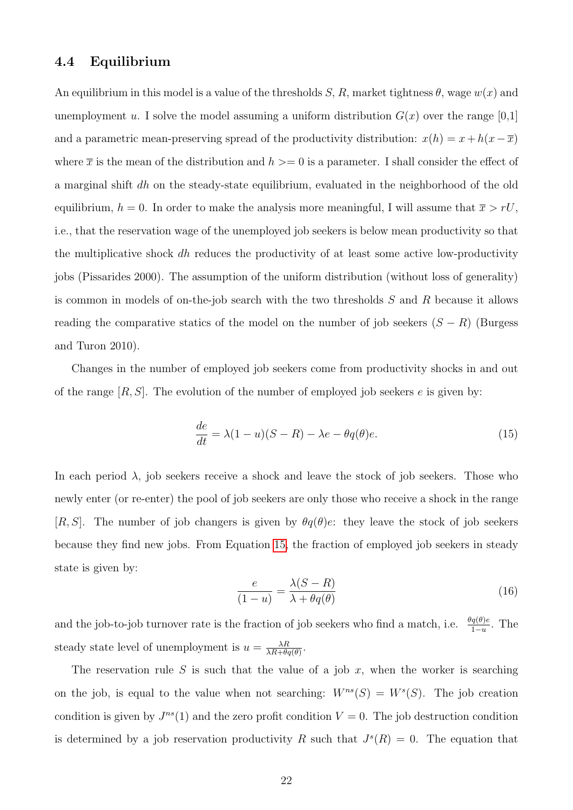#### 4.4 Equilibrium

An equilibrium in this model is a value of the thresholds  $S, R$ , market tightness  $\theta$ , wage  $w(x)$  and unemployment u. I solve the model assuming a uniform distribution  $G(x)$  over the range [0,1] and a parametric mean-preserving spread of the productivity distribution:  $x(h) = x + h(x - \overline{x})$ where  $\bar{x}$  is the mean of the distribution and  $h \geq 0$  is a parameter. I shall consider the effect of a marginal shift dh on the steady-state equilibrium, evaluated in the neighborhood of the old equilibrium,  $h = 0$ . In order to make the analysis more meaningful, I will assume that  $\bar{x} > rU$ , i.e., that the reservation wage of the unemployed job seekers is below mean productivity so that the multiplicative shock dh reduces the productivity of at least some active low-productivity jobs (Pissarides 2000). The assumption of the uniform distribution (without loss of generality) is common in models of on-the-job search with the two thresholds  $S$  and  $R$  because it allows reading the comparative statics of the model on the number of job seekers  $(S - R)$  (Burgess and Turon 2010).

Changes in the number of employed job seekers come from productivity shocks in and out of the range  $[R, S]$ . The evolution of the number of employed job seekers e is given by:

<span id="page-22-0"></span>
$$
\frac{de}{dt} = \lambda(1 - u)(S - R) - \lambda e - \theta q(\theta)e.
$$
\n(15)

In each period  $\lambda$ , job seekers receive a shock and leave the stock of job seekers. Those who newly enter (or re-enter) the pool of job seekers are only those who receive a shock in the range [R, S]. The number of job changers is given by  $\theta q(\theta)e$ : they leave the stock of job seekers because they find new jobs. From Equation [15,](#page-22-0) the fraction of employed job seekers in steady state is given by:

<span id="page-22-1"></span>
$$
\frac{e}{(1-u)} = \frac{\lambda(S-R)}{\lambda + \theta q(\theta)}\tag{16}
$$

and the job-to-job turnover rate is the fraction of job seekers who find a match, i.e.  $\frac{\theta q(\theta)e}{1-u}$ . The steady state level of unemployment is  $u = \frac{\lambda R}{\lambda R + \theta}$  $\frac{\lambda R}{\lambda R+\theta q(\theta)}$ .

The reservation rule  $S$  is such that the value of a job  $x$ , when the worker is searching on the job, is equal to the value when not searching:  $W^{ns}(S) = W^{s}(S)$ . The job creation condition is given by  $J^{ns}(1)$  and the zero profit condition  $V = 0$ . The job destruction condition is determined by a job reservation productivity R such that  $J<sup>s</sup>(R) = 0$ . The equation that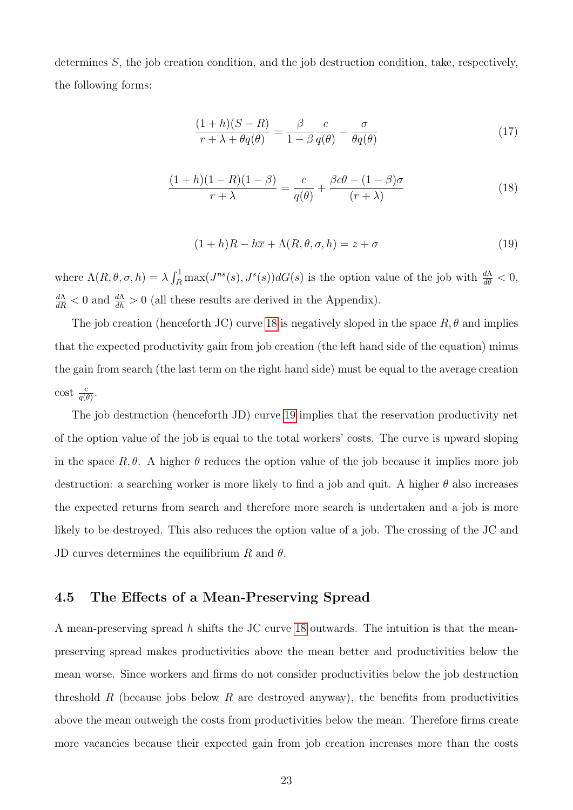determines S, the job creation condition, and the job destruction condition, take, respectively, the following forms:

<span id="page-23-2"></span>
$$
\frac{(1+h)(S-R)}{r + \lambda + \theta q(\theta)} = \frac{\beta}{1-\beta} \frac{c}{q(\theta)} - \frac{\sigma}{\theta q(\theta)}
$$
(17)

<span id="page-23-0"></span>
$$
\frac{(1+h)(1-R)(1-\beta)}{r+\lambda} = \frac{c}{q(\theta)} + \frac{\beta c\theta - (1-\beta)\sigma}{(r+\lambda)}
$$
(18)

<span id="page-23-1"></span>
$$
(1+h)R - h\overline{x} + \Lambda(R, \theta, \sigma, h) = z + \sigma
$$
\n(19)

where  $\Lambda(R, \theta, \sigma, h) = \lambda \int_R^1 \max(J^{ns}(s), J^s(s)) dG(s)$  is the option value of the job with  $\frac{d\Lambda}{d\theta} < 0$ ,  $\frac{d\Lambda}{dR}$  < 0 and  $\frac{d\Lambda}{dh}$  > 0 (all these results are derived in the Appendix).

The job creation (henceforth JC) curve [18](#page-23-0) is negatively sloped in the space  $R, \theta$  and implies that the expected productivity gain from job creation (the left hand side of the equation) minus the gain from search (the last term on the right hand side) must be equal to the average creation cost  $\frac{c}{q(\theta)}$ .

The job destruction (henceforth JD) curve [19](#page-23-1) implies that the reservation productivity net of the option value of the job is equal to the total workers' costs. The curve is upward sloping in the space  $R, \theta$ . A higher  $\theta$  reduces the option value of the job because it implies more job destruction: a searching worker is more likely to find a job and quit. A higher  $\theta$  also increases the expected returns from search and therefore more search is undertaken and a job is more likely to be destroyed. This also reduces the option value of a job. The crossing of the JC and JD curves determines the equilibrium R and  $\theta$ .

#### 4.5 The Effects of a Mean-Preserving Spread

A mean-preserving spread h shifts the JC curve [18](#page-23-0) outwards. The intuition is that the meanpreserving spread makes productivities above the mean better and productivities below the mean worse. Since workers and firms do not consider productivities below the job destruction threshold R (because jobs below R are destroyed anyway), the benefits from productivities above the mean outweigh the costs from productivities below the mean. Therefore firms create more vacancies because their expected gain from job creation increases more than the costs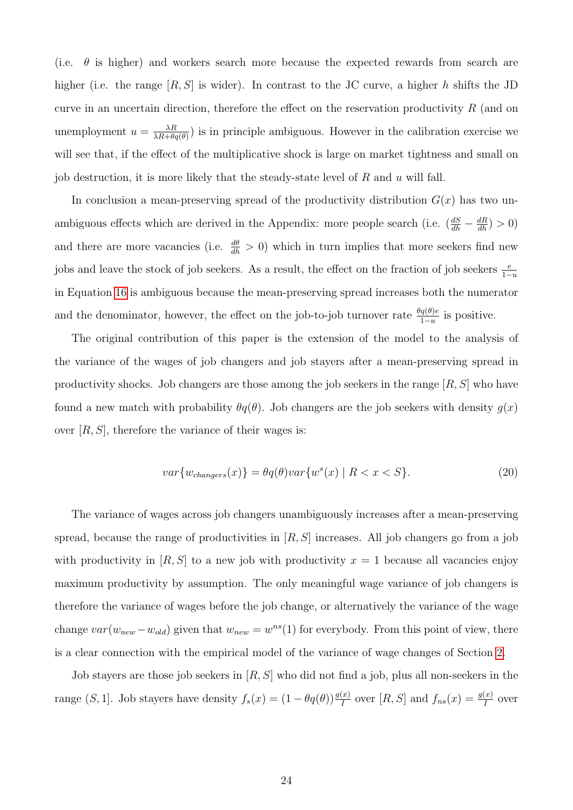(i.e.  $\theta$  is higher) and workers search more because the expected rewards from search are higher (i.e. the range  $[R, S]$  is wider). In contrast to the JC curve, a higher h shifts the JD curve in an uncertain direction, therefore the effect on the reservation productivity  $R$  (and on unemployment  $u = \frac{\lambda R}{\lambda R + \theta d}$  $\frac{\lambda R}{\lambda R+\theta q(\theta)}$  is in principle ambiguous. However in the calibration exercise we will see that, if the effect of the multiplicative shock is large on market tightness and small on job destruction, it is more likely that the steady-state level of  $R$  and  $u$  will fall.

In conclusion a mean-preserving spread of the productivity distribution  $G(x)$  has two unambiguous effects which are derived in the Appendix: more people search (i.e.  $\left(\frac{dS}{dh} - \frac{dR}{dh}\right) > 0$ ) and there are more vacancies (i.e.  $\frac{d\theta}{dh} > 0$ ) which in turn implies that more seekers find new jobs and leave the stock of job seekers. As a result, the effect on the fraction of job seekers  $\frac{e}{1-u}$ in Equation [16](#page-22-1) is ambiguous because the mean-preserving spread increases both the numerator and the denominator, however, the effect on the job-to-job turnover rate  $\frac{\theta q(\theta)e}{1-u}$  is positive.

The original contribution of this paper is the extension of the model to the analysis of the variance of the wages of job changers and job stayers after a mean-preserving spread in productivity shocks. Job changers are those among the job seekers in the range  $[R, S]$  who have found a new match with probability  $\theta q(\theta)$ . Job changers are the job seekers with density  $g(x)$ over  $[R, S]$ , therefore the variance of their wages is:

<span id="page-24-0"></span>
$$
var\{w_{changes}(x)\} = \theta q(\theta) var\{w^s(x) \mid R < x < S\}.\tag{20}
$$

The variance of wages across job changers unambiguously increases after a mean-preserving spread, because the range of productivities in  $[R, S]$  increases. All job changers go from a job with productivity in  $[R, S]$  to a new job with productivity  $x = 1$  because all vacancies enjoy maximum productivity by assumption. The only meaningful wage variance of job changers is therefore the variance of wages before the job change, or alternatively the variance of the wage change  $var(w_{new} - w_{old})$  given that  $w_{new} = w^{ns}(1)$  for everybody. From this point of view, there is a clear connection with the empirical model of the variance of wage changes of Section [2.](#page-4-0)

Job stayers are those job seekers in  $[R, S]$  who did not find a job, plus all non-seekers in the range  $(S, 1]$ . Job stayers have density  $f_s(x) = (1 - \theta q(\theta)) \frac{q(x)}{I}$  over  $[R, S]$  and  $f_{ns}(x) = \frac{q(x)}{I}$  over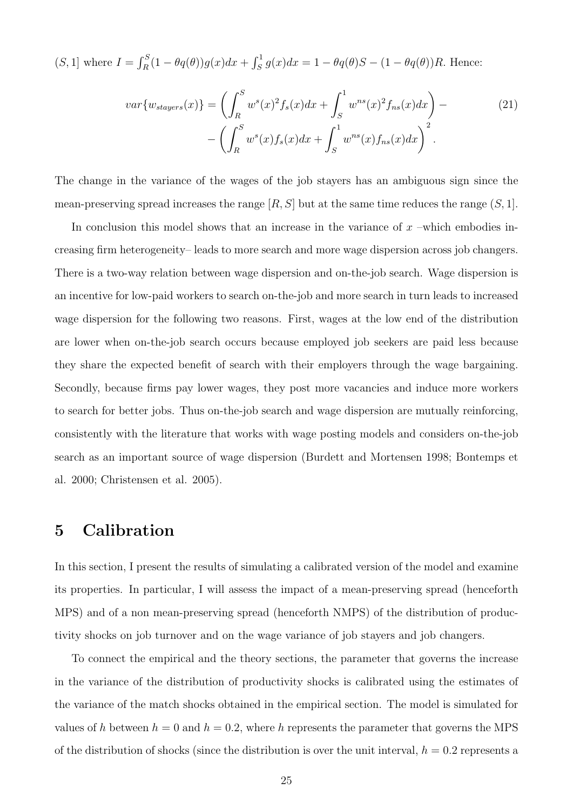<span id="page-25-1"></span>
$$
(S, 1] \text{ where } I = \int_{R}^{S} (1 - \theta q(\theta)) g(x) dx + \int_{S}^{1} g(x) dx = 1 - \theta q(\theta) S - (1 - \theta q(\theta)) R. \text{ Hence:}
$$

$$
var\{w_{stayers}(x)\} = \left(\int_{R}^{S} w^{s}(x)^{2} f_{s}(x) dx + \int_{S}^{1} w^{ns}(x)^{2} f_{ns}(x) dx\right) - \left(\int_{R}^{S} w^{s}(x) f_{s}(x) dx + \int_{S}^{1} w^{ns}(x) f_{ns}(x) dx\right)^{2}.
$$
(21)

The change in the variance of the wages of the job stayers has an ambiguous sign since the mean-preserving spread increases the range  $[R, S]$  but at the same time reduces the range  $(S, 1]$ .

In conclusion this model shows that an increase in the variance of  $x$  –which embodies increasing firm heterogeneity– leads to more search and more wage dispersion across job changers. There is a two-way relation between wage dispersion and on-the-job search. Wage dispersion is an incentive for low-paid workers to search on-the-job and more search in turn leads to increased wage dispersion for the following two reasons. First, wages at the low end of the distribution are lower when on-the-job search occurs because employed job seekers are paid less because they share the expected benefit of search with their employers through the wage bargaining. Secondly, because firms pay lower wages, they post more vacancies and induce more workers to search for better jobs. Thus on-the-job search and wage dispersion are mutually reinforcing, consistently with the literature that works with wage posting models and considers on-the-job search as an important source of wage dispersion (Burdett and Mortensen 1998; Bontemps et al. 2000; Christensen et al. 2005).

### <span id="page-25-0"></span>5 Calibration

In this section, I present the results of simulating a calibrated version of the model and examine its properties. In particular, I will assess the impact of a mean-preserving spread (henceforth MPS) and of a non mean-preserving spread (henceforth NMPS) of the distribution of productivity shocks on job turnover and on the wage variance of job stayers and job changers.

To connect the empirical and the theory sections, the parameter that governs the increase in the variance of the distribution of productivity shocks is calibrated using the estimates of the variance of the match shocks obtained in the empirical section. The model is simulated for values of h between  $h = 0$  and  $h = 0.2$ , where h represents the parameter that governs the MPS of the distribution of shocks (since the distribution is over the unit interval,  $h = 0.2$  represents a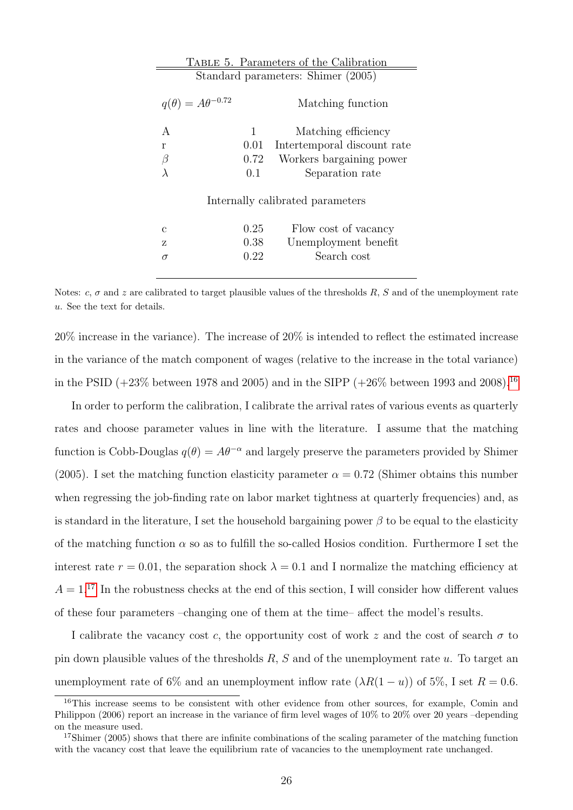<span id="page-26-2"></span>

| TABLE 5. Parameters of the Calibration |          |                                    |  |  |  |  |  |
|----------------------------------------|----------|------------------------------------|--|--|--|--|--|
|                                        |          | Standard parameters: Shimer (2005) |  |  |  |  |  |
|                                        |          |                                    |  |  |  |  |  |
| $q(\theta) = A\theta^{-0.72}$          |          | Matching function                  |  |  |  |  |  |
| A                                      |          |                                    |  |  |  |  |  |
|                                        | 1        | Matching efficiency                |  |  |  |  |  |
| r                                      | 0.01     | Intertemporal discount rate        |  |  |  |  |  |
| B                                      | 0.72     | Workers bargaining power           |  |  |  |  |  |
|                                        | 0.1      | Separation rate                    |  |  |  |  |  |
|                                        |          |                                    |  |  |  |  |  |
| Internally calibrated parameters       |          |                                    |  |  |  |  |  |
|                                        |          |                                    |  |  |  |  |  |
| $\mathcal{C}$                          | 0.25     | Flow cost of vacancy               |  |  |  |  |  |
| z                                      | 0.38     | Unemployment benefit               |  |  |  |  |  |
| σ                                      | $0.22\,$ | Search cost                        |  |  |  |  |  |
|                                        |          |                                    |  |  |  |  |  |

Notes:  $c, \sigma$  and z are calibrated to target plausible values of the thresholds R, S and of the unemployment rate u. See the text for details.

20% increase in the variance). The increase of 20% is intended to reflect the estimated increase in the variance of the match component of wages (relative to the increase in the total variance) in the PSID ( $+23\%$  between 1978 and 2005) and in the SIPP ( $+26\%$  between 1993 and 2008).<sup>[16](#page-26-0)</sup>

In order to perform the calibration, I calibrate the arrival rates of various events as quarterly rates and choose parameter values in line with the literature. I assume that the matching function is Cobb-Douglas  $q(\theta) = A\theta^{-\alpha}$  and largely preserve the parameters provided by Shimer (2005). I set the matching function elasticity parameter  $\alpha = 0.72$  (Shimer obtains this number when regressing the job-finding rate on labor market tightness at quarterly frequencies) and, as is standard in the literature, I set the household bargaining power  $\beta$  to be equal to the elasticity of the matching function  $\alpha$  so as to fulfill the so-called Hosios condition. Furthermore I set the interest rate  $r = 0.01$ , the separation shock  $\lambda = 0.1$  and I normalize the matching efficiency at  $A = 1$ <sup>[17](#page-26-1)</sup> In the robustness checks at the end of this section, I will consider how different values of these four parameters –changing one of them at the time– affect the model's results.

I calibrate the vacancy cost c, the opportunity cost of work z and the cost of search  $\sigma$  to pin down plausible values of the thresholds  $R$ ,  $S$  and of the unemployment rate  $u$ . To target an unemployment rate of 6% and an unemployment inflow rate  $(\lambda R(1 - u))$  of 5%, I set  $R = 0.6$ .

<span id="page-26-0"></span><sup>&</sup>lt;sup>16</sup>This increase seems to be consistent with other evidence from other sources, for example, Comin and Philippon (2006) report an increase in the variance of firm level wages of 10% to 20% over 20 years –depending on the measure used.

<span id="page-26-1"></span> $17\,\mathrm{Shimer}$  (2005) shows that there are infinite combinations of the scaling parameter of the matching function with the vacancy cost that leave the equilibrium rate of vacancies to the unemployment rate unchanged.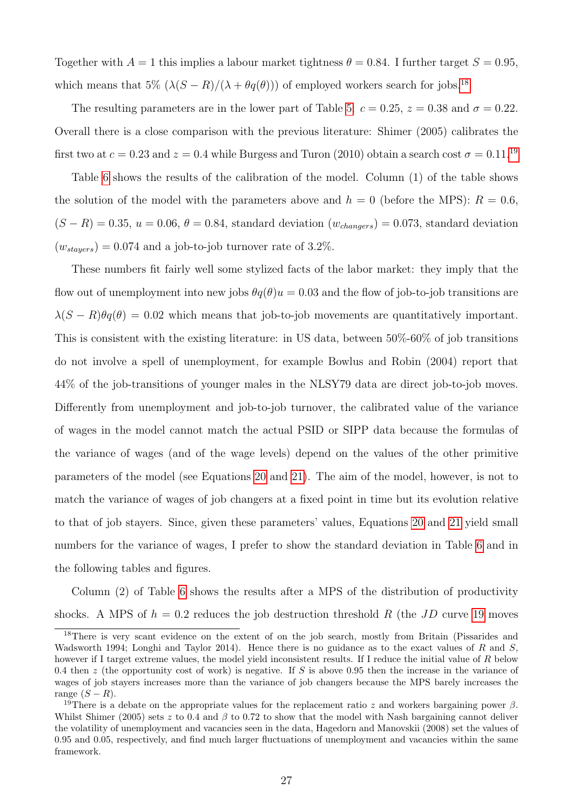Together with  $A = 1$  this implies a labour market tightness  $\theta = 0.84$ . I further target  $S = 0.95$ , which means that 5%  $(\lambda(S - R)/(\lambda + \theta q(\theta)))$  of employed workers search for jobs.<sup>[18](#page-27-0)</sup>

The resulting parameters are in the lower part of Table [5:](#page-26-2)  $c = 0.25$ ,  $z = 0.38$  and  $\sigma = 0.22$ . Overall there is a close comparison with the previous literature: Shimer (2005) calibrates the first two at  $c = 0.23$  and  $z = 0.4$  while Burgess and Turon (2010) obtain a search cost  $\sigma = 0.11$ .<sup>[19](#page-27-1)</sup>

Table [6](#page-31-0) shows the results of the calibration of the model. Column (1) of the table shows the solution of the model with the parameters above and  $h = 0$  (before the MPS):  $R = 0.6$ ,  $(S - R) = 0.35, u = 0.06, \theta = 0.84$ , standard deviation  $(w_{changes}) = 0.073$ , standard deviation  $(w_{stavers}) = 0.074$  and a job-to-job turnover rate of 3.2%.

These numbers fit fairly well some stylized facts of the labor market: they imply that the flow out of unemployment into new jobs  $\theta q(\theta)u = 0.03$  and the flow of job-to-job transitions are  $\lambda(S - R)\theta q(\theta) = 0.02$  which means that job-to-job movements are quantitatively important. This is consistent with the existing literature: in US data, between 50%-60% of job transitions do not involve a spell of unemployment, for example Bowlus and Robin (2004) report that 44% of the job-transitions of younger males in the NLSY79 data are direct job-to-job moves. Differently from unemployment and job-to-job turnover, the calibrated value of the variance of wages in the model cannot match the actual PSID or SIPP data because the formulas of the variance of wages (and of the wage levels) depend on the values of the other primitive parameters of the model (see Equations [20](#page-24-0) and [21\)](#page-25-1). The aim of the model, however, is not to match the variance of wages of job changers at a fixed point in time but its evolution relative to that of job stayers. Since, given these parameters' values, Equations [20](#page-24-0) and [21](#page-25-1) yield small numbers for the variance of wages, I prefer to show the standard deviation in Table [6](#page-31-0) and in the following tables and figures.

Column (2) of Table [6](#page-31-0) shows the results after a MPS of the distribution of productivity shocks. A MPS of  $h = 0.2$  reduces the job destruction threshold R (the JD curve [19](#page-23-1) moves

<span id="page-27-0"></span><sup>&</sup>lt;sup>18</sup>There is very scant evidence on the extent of on the job search, mostly from Britain (Pissarides and Wadsworth 1994; Longhi and Taylor 2014). Hence there is no guidance as to the exact values of R and  $S$ , however if I target extreme values, the model yield inconsistent results. If I reduce the initial value of R below 0.4 then z (the opportunity cost of work) is negative. If S is above 0.95 then the increase in the variance of wages of job stayers increases more than the variance of job changers because the MPS barely increases the range  $(S - R)$ .

<span id="page-27-1"></span><sup>&</sup>lt;sup>19</sup>There is a debate on the appropriate values for the replacement ratio z and workers bargaining power  $\beta$ . Whilst Shimer (2005) sets z to 0.4 and  $\beta$  to 0.72 to show that the model with Nash bargaining cannot deliver the volatility of unemployment and vacancies seen in the data, Hagedorn and Manovskii (2008) set the values of 0.95 and 0.05, respectively, and find much larger fluctuations of unemployment and vacancies within the same framework.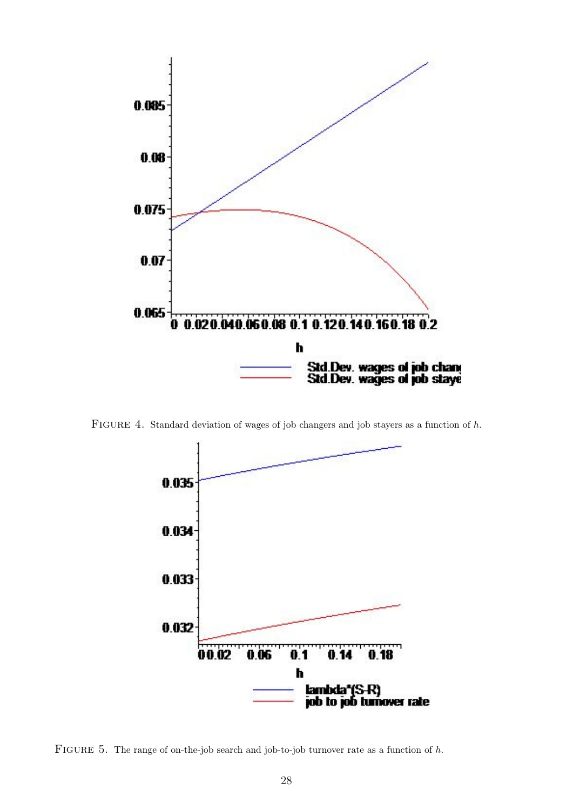<span id="page-28-0"></span>

<span id="page-28-1"></span>FIGURE 4. Standard deviation of wages of job changers and job stayers as a function of h.



FIGURE 5. The range of on-the-job search and job-to-job turnover rate as a function of h.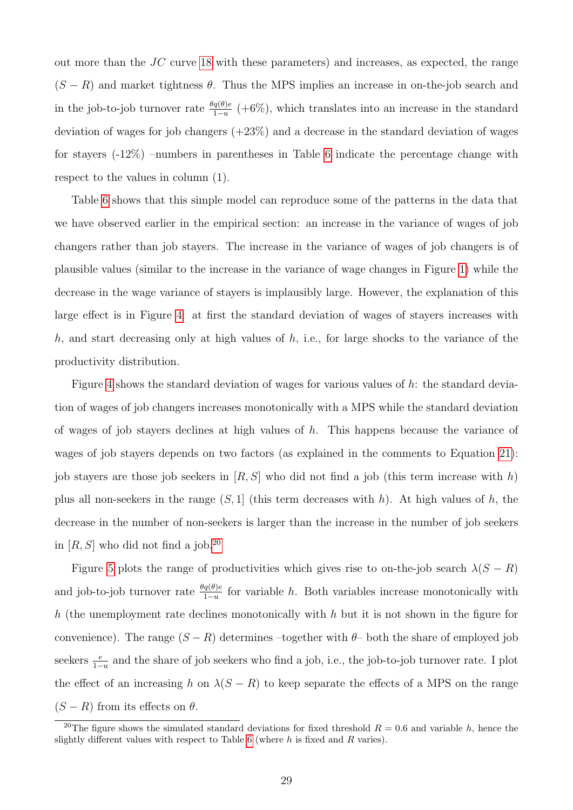out more than the  $JC$  curve [18](#page-23-0) with these parameters) and increases, as expected, the range  $(S - R)$  and market tightness  $\theta$ . Thus the MPS implies an increase in on-the-job search and in the job-to-job turnover rate  $\frac{\theta q(\theta)e}{1-u}$  (+6%), which translates into an increase in the standard deviation of wages for job changers  $(+23%)$  and a decrease in the standard deviation of wages for stayers (-12%) –numbers in parentheses in Table [6](#page-31-0) indicate the percentage change with respect to the values in column (1).

Table [6](#page-31-0) shows that this simple model can reproduce some of the patterns in the data that we have observed earlier in the empirical section: an increase in the variance of wages of job changers rather than job stayers. The increase in the variance of wages of job changers is of plausible values (similar to the increase in the variance of wage changes in Figure [1\)](#page-9-0) while the decrease in the wage variance of stayers is implausibly large. However, the explanation of this large effect is in Figure [4:](#page-28-0) at first the standard deviation of wages of stayers increases with h, and start decreasing only at high values of  $h$ , i.e., for large shocks to the variance of the productivity distribution.

Figure [4](#page-28-0) shows the standard deviation of wages for various values of  $h$ : the standard deviation of wages of job changers increases monotonically with a MPS while the standard deviation of wages of job stayers declines at high values of  $h$ . This happens because the variance of wages of job stayers depends on two factors (as explained in the comments to Equation [21\)](#page-25-1): job stayers are those job seekers in  $[R, S]$  who did not find a job (this term increase with h) plus all non-seekers in the range  $(S, 1]$  (this term decreases with h). At high values of h, the decrease in the number of non-seekers is larger than the increase in the number of job seekers in  $[R, S]$  who did not find a job.<sup>[20](#page-29-0)</sup>

Figure [5](#page-28-1) plots the range of productivities which gives rise to on-the-job search  $\lambda(S - R)$ and job-to-job turnover rate  $\frac{\theta q(\theta)e}{1-u}$  for variable h. Both variables increase monotonically with h (the unemployment rate declines monotonically with  $h$  but it is not shown in the figure for convenience). The range  $(S - R)$  determines –together with  $\theta$ – both the share of employed job seekers  $\frac{e}{1-u}$  and the share of job seekers who find a job, i.e., the job-to-job turnover rate. I plot the effect of an increasing h on  $\lambda(S - R)$  to keep separate the effects of a MPS on the range  $(S - R)$  from its effects on  $\theta$ .

<span id="page-29-0"></span><sup>&</sup>lt;sup>20</sup>The figure shows the simulated standard deviations for fixed threshold  $R = 0.6$  and variable h, hence the slightly different values with respect to Table [6](#page-31-0) (where  $h$  is fixed and  $R$  varies).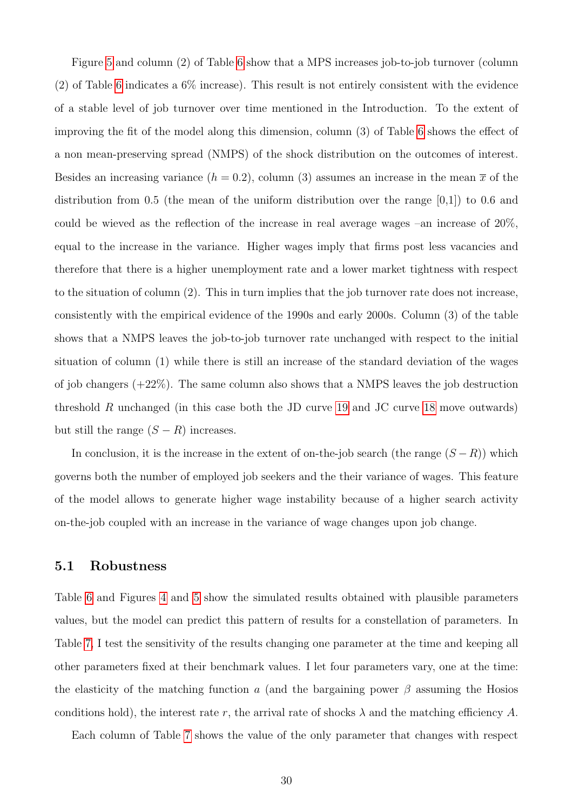Figure [5](#page-28-1) and column (2) of Table [6](#page-31-0) show that a MPS increases job-to-job turnover (column (2) of Table [6](#page-31-0) indicates a 6% increase). This result is not entirely consistent with the evidence of a stable level of job turnover over time mentioned in the Introduction. To the extent of improving the fit of the model along this dimension, column (3) of Table [6](#page-31-0) shows the effect of a non mean-preserving spread (NMPS) of the shock distribution on the outcomes of interest. Besides an increasing variance  $(h = 0.2)$ , column (3) assumes an increase in the mean  $\bar{x}$  of the distribution from 0.5 (the mean of the uniform distribution over the range [0,1]) to 0.6 and could be wieved as the reflection of the increase in real average wages –an increase of 20%, equal to the increase in the variance. Higher wages imply that firms post less vacancies and therefore that there is a higher unemployment rate and a lower market tightness with respect to the situation of column (2). This in turn implies that the job turnover rate does not increase, consistently with the empirical evidence of the 1990s and early 2000s. Column (3) of the table shows that a NMPS leaves the job-to-job turnover rate unchanged with respect to the initial situation of column (1) while there is still an increase of the standard deviation of the wages of job changers  $(+22\%)$ . The same column also shows that a NMPS leaves the job destruction threshold R unchanged (in this case both the JD curve [19](#page-23-1) and JC curve [18](#page-23-0) move outwards) but still the range  $(S - R)$  increases.

In conclusion, it is the increase in the extent of on-the-job search (the range  $(S - R)$ ) which governs both the number of employed job seekers and the their variance of wages. This feature of the model allows to generate higher wage instability because of a higher search activity on-the-job coupled with an increase in the variance of wage changes upon job change.

#### 5.1 Robustness

Table [6](#page-31-0) and Figures [4](#page-28-0) and [5](#page-28-1) show the simulated results obtained with plausible parameters values, but the model can predict this pattern of results for a constellation of parameters. In Table [7,](#page-33-1) I test the sensitivity of the results changing one parameter at the time and keeping all other parameters fixed at their benchmark values. I let four parameters vary, one at the time: the elasticity of the matching function a (and the bargaining power  $\beta$  assuming the Hosios conditions hold), the interest rate r, the arrival rate of shocks  $\lambda$  and the matching efficiency A.

Each column of Table [7](#page-33-1) shows the value of the only parameter that changes with respect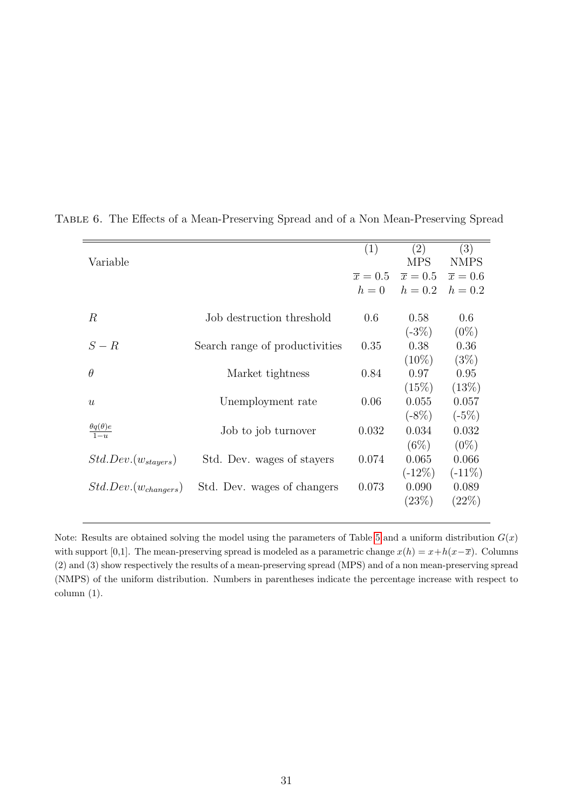|                                 |                                | (1)   | (2)                                       | (3)                  |
|---------------------------------|--------------------------------|-------|-------------------------------------------|----------------------|
| Variable                        |                                |       | <b>MPS</b>                                | <b>NMPS</b>          |
|                                 |                                |       | $\overline{x} = 0.5$ $\overline{x} = 0.5$ | $\overline{x} = 0.6$ |
|                                 |                                | $h=0$ | $h=0.2$                                   | $h=0.2$              |
| R                               | Job destruction threshold      | 0.6   | 0.58                                      | 0.6                  |
|                                 |                                |       | $(-3%)$                                   | $(0\%)$              |
| $S-R$                           | Search range of productivities | 0.35  | 0.38                                      | 0.36                 |
|                                 |                                |       | $(10\%)$                                  | (3%)                 |
| $\theta$                        | Market tightness               | 0.84  | 0.97                                      | 0.95                 |
|                                 |                                |       | (15%)                                     | (13%)                |
| $\boldsymbol{u}$                | Unemployment rate              | 0.06  | 0.055                                     | 0.057                |
|                                 |                                |       | $(-8%)$                                   | $(-5%)$              |
| $\frac{\theta q(\theta)e}{1-u}$ | Job to job turnover            | 0.032 | 0.034                                     | 0.032                |
|                                 |                                |       | $(6\%)$                                   | $(0\%)$              |
| $Std.Dev.(w_{stayers})$         | Std. Dev. wages of stayers     | 0.074 | 0.065                                     | 0.066                |
|                                 |                                |       | $(-12\%)$                                 | $(-11\%)$            |
| $Std.Dev.(w_{changes})$         | Std. Dev. wages of changers    | 0.073 | 0.090                                     | 0.089                |
|                                 |                                |       | (23%)                                     | $(22\%)$             |
|                                 |                                |       |                                           |                      |

<span id="page-31-0"></span>Table 6. The Effects of a Mean-Preserving Spread and of a Non Mean-Preserving Spread

Note: Results are obtained solving the model using the parameters of Table [5](#page-26-2) and a uniform distribution  $G(x)$ with support [0,1]. The mean-preserving spread is modeled as a parametric change  $x(h) = x + h(x-\overline{x})$ . Columns (2) and (3) show respectively the results of a mean-preserving spread (MPS) and of a non mean-preserving spread (NMPS) of the uniform distribution. Numbers in parentheses indicate the percentage increase with respect to column (1).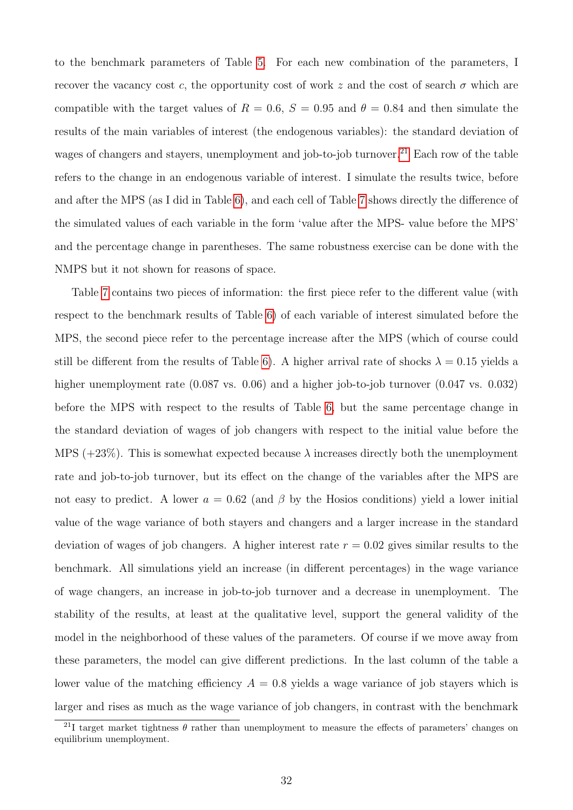to the benchmark parameters of Table [5.](#page-26-2) For each new combination of the parameters, I recover the vacancy cost c, the opportunity cost of work z and the cost of search  $\sigma$  which are compatible with the target values of  $R = 0.6$ ,  $S = 0.95$  and  $\theta = 0.84$  and then simulate the results of the main variables of interest (the endogenous variables): the standard deviation of wages of changers and stayers, unemployment and job-to-job turnover.<sup>[21](#page-32-0)</sup> Each row of the table refers to the change in an endogenous variable of interest. I simulate the results twice, before and after the MPS (as I did in Table [6\)](#page-31-0), and each cell of Table [7](#page-33-1) shows directly the difference of the simulated values of each variable in the form 'value after the MPS- value before the MPS' and the percentage change in parentheses. The same robustness exercise can be done with the NMPS but it not shown for reasons of space.

Table [7](#page-33-1) contains two pieces of information: the first piece refer to the different value (with respect to the benchmark results of Table [6\)](#page-31-0) of each variable of interest simulated before the MPS, the second piece refer to the percentage increase after the MPS (which of course could still be different from the results of Table [6\)](#page-31-0). A higher arrival rate of shocks  $\lambda = 0.15$  yields a higher unemployment rate (0.087 vs. 0.06) and a higher job-to-job turnover (0.047 vs. 0.032) before the MPS with respect to the results of Table [6,](#page-31-0) but the same percentage change in the standard deviation of wages of job changers with respect to the initial value before the MPS  $(+23\%)$ . This is somewhat expected because  $\lambda$  increases directly both the unemployment rate and job-to-job turnover, but its effect on the change of the variables after the MPS are not easy to predict. A lower  $a = 0.62$  (and  $\beta$  by the Hosios conditions) yield a lower initial value of the wage variance of both stayers and changers and a larger increase in the standard deviation of wages of job changers. A higher interest rate  $r = 0.02$  gives similar results to the benchmark. All simulations yield an increase (in different percentages) in the wage variance of wage changers, an increase in job-to-job turnover and a decrease in unemployment. The stability of the results, at least at the qualitative level, support the general validity of the model in the neighborhood of these values of the parameters. Of course if we move away from these parameters, the model can give different predictions. In the last column of the table a lower value of the matching efficiency  $A = 0.8$  yields a wage variance of job stayers which is larger and rises as much as the wage variance of job changers, in contrast with the benchmark

<span id="page-32-0"></span><sup>&</sup>lt;sup>21</sup>I target market tightness  $\theta$  rather than unemployment to measure the effects of parameters' changes on equilibrium unemployment.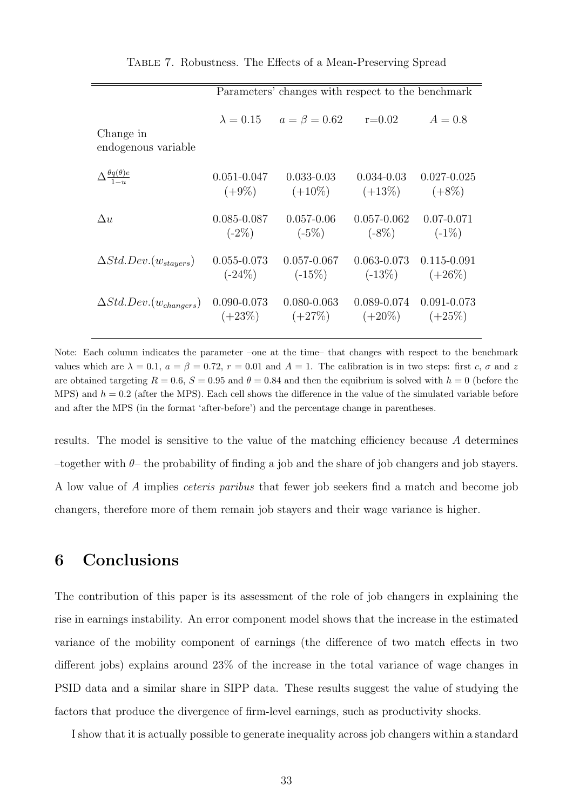<span id="page-33-1"></span>

|                                        | Parameters' changes with respect to the benchmark |                    |                 |                 |  |  |
|----------------------------------------|---------------------------------------------------|--------------------|-----------------|-----------------|--|--|
| Change in<br>endogenous variable       | $\lambda = 0.15$                                  | $a = \beta = 0.62$ | $r = 0.02$      | $A = 0.8$       |  |  |
| $\Delta \frac{\theta q(\theta)e}{1-u}$ | $0.051 - 0.047$                                   | $0.033 - 0.03$     | $0.034 - 0.03$  | $0.027 - 0.025$ |  |  |
|                                        | $(+9\%)$                                          | $(+10\%)$          | $(+13%)$        | $(+8\%)$        |  |  |
| $\Delta u$                             | 0.085-0.087                                       | $0.057 - 0.06$     | $0.057 - 0.062$ | $0.07 - 0.071$  |  |  |
|                                        | $(-2\%)$                                          | $(-5%)$            | $(-8%)$         | $(-1\%)$        |  |  |
| $\Delta Std. Dev.(w_{stayers})$        | 0.055-0.073                                       | $0.057 - 0.067$    | 0.063-0.073     | $0.115 - 0.091$ |  |  |
|                                        | $(-24\%)$                                         | $(-15%)$           | $(-13%)$        | $(+26\%)$       |  |  |
| $\Delta Std. Dev.(w_{changes})$        | $0.090 - 0.073$                                   | $0.080 - 0.063$    | 0.089-0.074     | $0.091 - 0.073$ |  |  |
|                                        | $(+23%)$                                          | $(+27%)$           | $(+20\%)$       | $(+25%)$        |  |  |

Note: Each column indicates the parameter –one at the time– that changes with respect to the benchmark values which are  $\lambda = 0.1$ ,  $a = \beta = 0.72$ ,  $r = 0.01$  and  $A = 1$ . The calibration is in two steps: first c,  $\sigma$  and z are obtained targeting  $R = 0.6$ ,  $S = 0.95$  and  $\theta = 0.84$  and then the equibrium is solved with  $h = 0$  (before the MPS) and  $h = 0.2$  (after the MPS). Each cell shows the difference in the value of the simulated variable before and after the MPS (in the format 'after-before') and the percentage change in parentheses.

results. The model is sensitive to the value of the matching efficiency because A determines –together with θ– the probability of finding a job and the share of job changers and job stayers. A low value of A implies ceteris paribus that fewer job seekers find a match and become job changers, therefore more of them remain job stayers and their wage variance is higher.

## <span id="page-33-0"></span>6 Conclusions

The contribution of this paper is its assessment of the role of job changers in explaining the rise in earnings instability. An error component model shows that the increase in the estimated variance of the mobility component of earnings (the difference of two match effects in two different jobs) explains around 23% of the increase in the total variance of wage changes in PSID data and a similar share in SIPP data. These results suggest the value of studying the factors that produce the divergence of firm-level earnings, such as productivity shocks.

I show that it is actually possible to generate inequality across job changers within a standard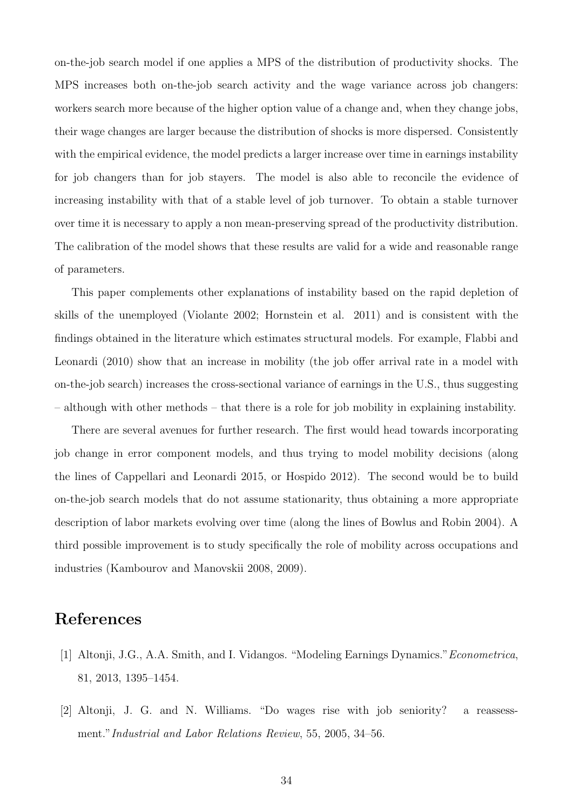on-the-job search model if one applies a MPS of the distribution of productivity shocks. The MPS increases both on-the-job search activity and the wage variance across job changers: workers search more because of the higher option value of a change and, when they change jobs, their wage changes are larger because the distribution of shocks is more dispersed. Consistently with the empirical evidence, the model predicts a larger increase over time in earnings instability for job changers than for job stayers. The model is also able to reconcile the evidence of increasing instability with that of a stable level of job turnover. To obtain a stable turnover over time it is necessary to apply a non mean-preserving spread of the productivity distribution. The calibration of the model shows that these results are valid for a wide and reasonable range of parameters.

This paper complements other explanations of instability based on the rapid depletion of skills of the unemployed (Violante 2002; Hornstein et al. 2011) and is consistent with the findings obtained in the literature which estimates structural models. For example, Flabbi and Leonardi (2010) show that an increase in mobility (the job offer arrival rate in a model with on-the-job search) increases the cross-sectional variance of earnings in the U.S., thus suggesting – although with other methods – that there is a role for job mobility in explaining instability.

There are several avenues for further research. The first would head towards incorporating job change in error component models, and thus trying to model mobility decisions (along the lines of Cappellari and Leonardi 2015, or Hospido 2012). The second would be to build on-the-job search models that do not assume stationarity, thus obtaining a more appropriate description of labor markets evolving over time (along the lines of Bowlus and Robin 2004). A third possible improvement is to study specifically the role of mobility across occupations and industries (Kambourov and Manovskii 2008, 2009).

## References

- [1] Altonji, J.G., A.A. Smith, and I. Vidangos. "Modeling Earnings Dynamics."Econometrica, 81, 2013, 1395–1454.
- [2] Altonji, J. G. and N. Williams. "Do wages rise with job seniority? a reassessment."Industrial and Labor Relations Review, 55, 2005, 34–56.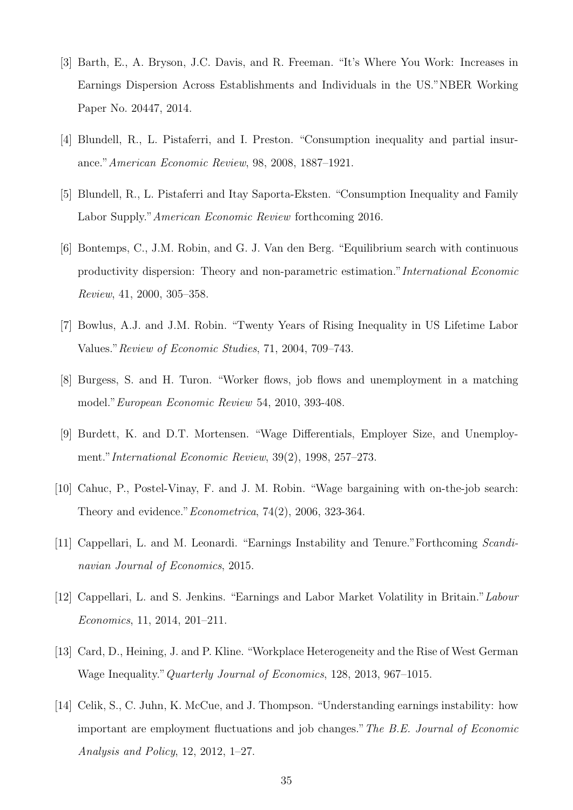- [3] Barth, E., A. Bryson, J.C. Davis, and R. Freeman. "It's Where You Work: Increases in Earnings Dispersion Across Establishments and Individuals in the US."NBER Working Paper No. 20447, 2014.
- [4] Blundell, R., L. Pistaferri, and I. Preston. "Consumption inequality and partial insurance."American Economic Review, 98, 2008, 1887–1921.
- [5] Blundell, R., L. Pistaferri and Itay Saporta-Eksten. "Consumption Inequality and Family Labor Supply."American Economic Review forthcoming 2016.
- [6] Bontemps, C., J.M. Robin, and G. J. Van den Berg. "Equilibrium search with continuous productivity dispersion: Theory and non-parametric estimation."International Economic Review, 41, 2000, 305–358.
- [7] Bowlus, A.J. and J.M. Robin. "Twenty Years of Rising Inequality in US Lifetime Labor Values."Review of Economic Studies, 71, 2004, 709–743.
- [8] Burgess, S. and H. Turon. "Worker flows, job flows and unemployment in a matching model."European Economic Review 54, 2010, 393-408.
- [9] Burdett, K. and D.T. Mortensen. "Wage Differentials, Employer Size, and Unemployment."International Economic Review, 39(2), 1998, 257–273.
- [10] Cahuc, P., Postel-Vinay, F. and J. M. Robin. "Wage bargaining with on-the-job search: Theory and evidence."Econometrica, 74(2), 2006, 323-364.
- [11] Cappellari, L. and M. Leonardi. "Earnings Instability and Tenure."Forthcoming Scandinavian Journal of Economics, 2015.
- [12] Cappellari, L. and S. Jenkins. "Earnings and Labor Market Volatility in Britain."Labour Economics, 11, 2014, 201–211.
- [13] Card, D., Heining, J. and P. Kline. "Workplace Heterogeneity and the Rise of West German Wage Inequality."Quarterly Journal of Economics, 128, 2013, 967–1015.
- [14] Celik, S., C. Juhn, K. McCue, and J. Thompson. "Understanding earnings instability: how important are employment fluctuations and job changes."The B.E. Journal of Economic Analysis and Policy, 12, 2012, 1–27.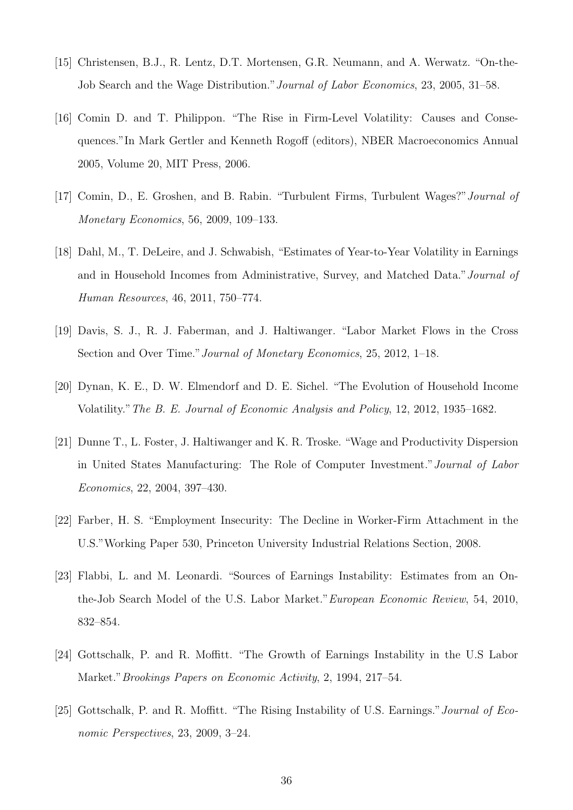- [15] Christensen, B.J., R. Lentz, D.T. Mortensen, G.R. Neumann, and A. Werwatz. "On-the-Job Search and the Wage Distribution."Journal of Labor Economics, 23, 2005, 31–58.
- [16] Comin D. and T. Philippon. "The Rise in Firm-Level Volatility: Causes and Consequences."In Mark Gertler and Kenneth Rogoff (editors), NBER Macroeconomics Annual 2005, Volume 20, MIT Press, 2006.
- [17] Comin, D., E. Groshen, and B. Rabin. "Turbulent Firms, Turbulent Wages?"Journal of Monetary Economics, 56, 2009, 109–133.
- [18] Dahl, M., T. DeLeire, and J. Schwabish, "Estimates of Year-to-Year Volatility in Earnings and in Household Incomes from Administrative, Survey, and Matched Data." Journal of Human Resources, 46, 2011, 750–774.
- [19] Davis, S. J., R. J. Faberman, and J. Haltiwanger. "Labor Market Flows in the Cross Section and Over Time."Journal of Monetary Economics, 25, 2012, 1–18.
- [20] Dynan, K. E., D. W. Elmendorf and D. E. Sichel. "The Evolution of Household Income Volatility."The B. E. Journal of Economic Analysis and Policy, 12, 2012, 1935–1682.
- [21] Dunne T., L. Foster, J. Haltiwanger and K. R. Troske. "Wage and Productivity Dispersion in United States Manufacturing: The Role of Computer Investment."Journal of Labor Economics, 22, 2004, 397–430.
- [22] Farber, H. S. "Employment Insecurity: The Decline in Worker-Firm Attachment in the U.S."Working Paper 530, Princeton University Industrial Relations Section, 2008.
- [23] Flabbi, L. and M. Leonardi. "Sources of Earnings Instability: Estimates from an Onthe-Job Search Model of the U.S. Labor Market."European Economic Review, 54, 2010, 832–854.
- [24] Gottschalk, P. and R. Moffitt. "The Growth of Earnings Instability in the U.S Labor Market."Brookings Papers on Economic Activity, 2, 1994, 217–54.
- [25] Gottschalk, P. and R. Moffitt. "The Rising Instability of U.S. Earnings." Journal of Economic Perspectives, 23, 2009, 3–24.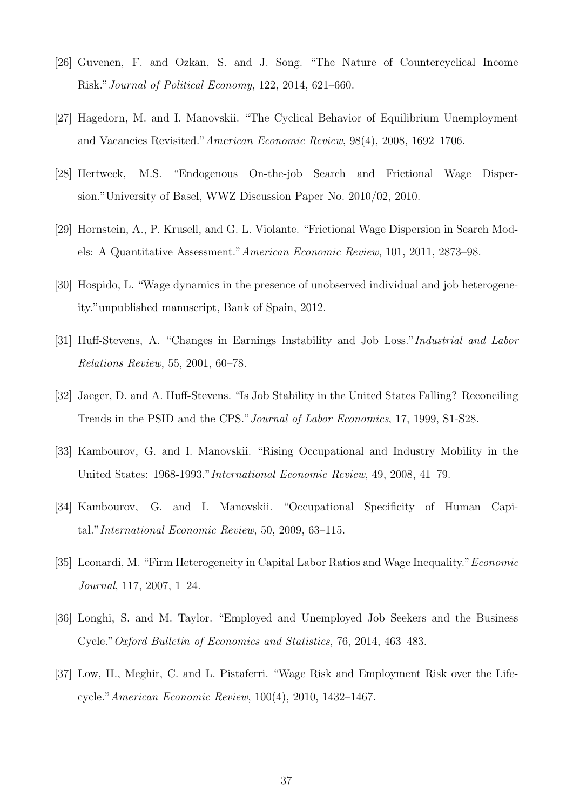- [26] Guvenen, F. and Ozkan, S. and J. Song. "The Nature of Countercyclical Income Risk."Journal of Political Economy, 122, 2014, 621–660.
- [27] Hagedorn, M. and I. Manovskii. "The Cyclical Behavior of Equilibrium Unemployment and Vacancies Revisited."American Economic Review, 98(4), 2008, 1692–1706.
- [28] Hertweck, M.S. "Endogenous On-the-job Search and Frictional Wage Dispersion."University of Basel, WWZ Discussion Paper No. 2010/02, 2010.
- [29] Hornstein, A., P. Krusell, and G. L. Violante. "Frictional Wage Dispersion in Search Models: A Quantitative Assessment."American Economic Review, 101, 2011, 2873–98.
- [30] Hospido, L. "Wage dynamics in the presence of unobserved individual and job heterogeneity."unpublished manuscript, Bank of Spain, 2012.
- [31] Huff-Stevens, A. "Changes in Earnings Instability and Job Loss."Industrial and Labor Relations Review, 55, 2001, 60–78.
- [32] Jaeger, D. and A. Huff-Stevens. "Is Job Stability in the United States Falling? Reconciling Trends in the PSID and the CPS."Journal of Labor Economics, 17, 1999, S1-S28.
- [33] Kambourov, G. and I. Manovskii. "Rising Occupational and Industry Mobility in the United States: 1968-1993."International Economic Review, 49, 2008, 41–79.
- [34] Kambourov, G. and I. Manovskii. "Occupational Specificity of Human Capital."International Economic Review, 50, 2009, 63–115.
- [35] Leonardi, M. "Firm Heterogeneity in Capital Labor Ratios and Wage Inequality."Economic Journal, 117, 2007, 1–24.
- [36] Longhi, S. and M. Taylor. "Employed and Unemployed Job Seekers and the Business Cycle."Oxford Bulletin of Economics and Statistics, 76, 2014, 463–483.
- [37] Low, H., Meghir, C. and L. Pistaferri. "Wage Risk and Employment Risk over the Lifecycle."American Economic Review, 100(4), 2010, 1432–1467.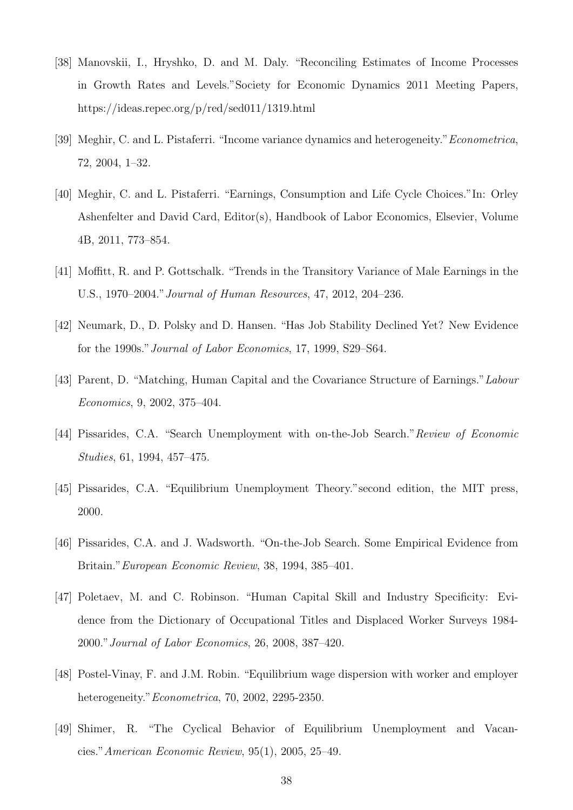- [38] Manovskii, I., Hryshko, D. and M. Daly. "Reconciling Estimates of Income Processes in Growth Rates and Levels."Society for Economic Dynamics 2011 Meeting Papers, https://ideas.repec.org/p/red/sed011/1319.html
- [39] Meghir, C. and L. Pistaferri. "Income variance dynamics and heterogeneity."Econometrica, 72, 2004, 1–32.
- [40] Meghir, C. and L. Pistaferri. "Earnings, Consumption and Life Cycle Choices."In: Orley Ashenfelter and David Card, Editor(s), Handbook of Labor Economics, Elsevier, Volume 4B, 2011, 773–854.
- [41] Moffitt, R. and P. Gottschalk. "Trends in the Transitory Variance of Male Earnings in the U.S., 1970–2004."Journal of Human Resources, 47, 2012, 204–236.
- [42] Neumark, D., D. Polsky and D. Hansen. "Has Job Stability Declined Yet? New Evidence for the 1990s."Journal of Labor Economics, 17, 1999, S29–S64.
- [43] Parent, D. "Matching, Human Capital and the Covariance Structure of Earnings."Labour Economics, 9, 2002, 375–404.
- [44] Pissarides, C.A. "Search Unemployment with on-the-Job Search."Review of Economic Studies, 61, 1994, 457–475.
- [45] Pissarides, C.A. "Equilibrium Unemployment Theory."second edition, the MIT press, 2000.
- [46] Pissarides, C.A. and J. Wadsworth. "On-the-Job Search. Some Empirical Evidence from Britain."European Economic Review, 38, 1994, 385–401.
- [47] Poletaev, M. and C. Robinson. "Human Capital Skill and Industry Specificity: Evidence from the Dictionary of Occupational Titles and Displaced Worker Surveys 1984- 2000."Journal of Labor Economics, 26, 2008, 387–420.
- [48] Postel-Vinay, F. and J.M. Robin. "Equilibrium wage dispersion with worker and employer heterogeneity."Econometrica, 70, 2002, 2295-2350.
- [49] Shimer, R. "The Cyclical Behavior of Equilibrium Unemployment and Vacancies."American Economic Review, 95(1), 2005, 25–49.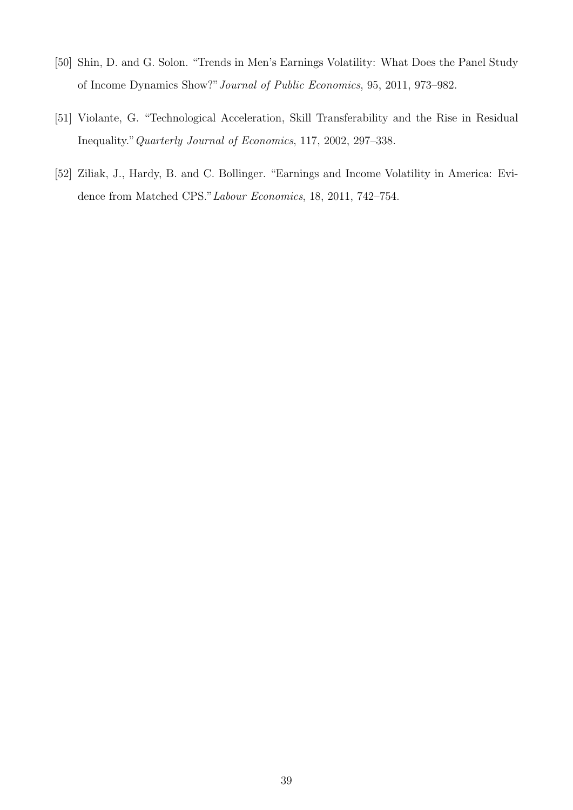- [50] Shin, D. and G. Solon. "Trends in Men's Earnings Volatility: What Does the Panel Study of Income Dynamics Show?"Journal of Public Economics, 95, 2011, 973–982.
- [51] Violante, G. "Technological Acceleration, Skill Transferability and the Rise in Residual Inequality."Quarterly Journal of Economics, 117, 2002, 297–338.
- [52] Ziliak, J., Hardy, B. and C. Bollinger. "Earnings and Income Volatility in America: Evidence from Matched CPS."Labour Economics, 18, 2011, 742–754.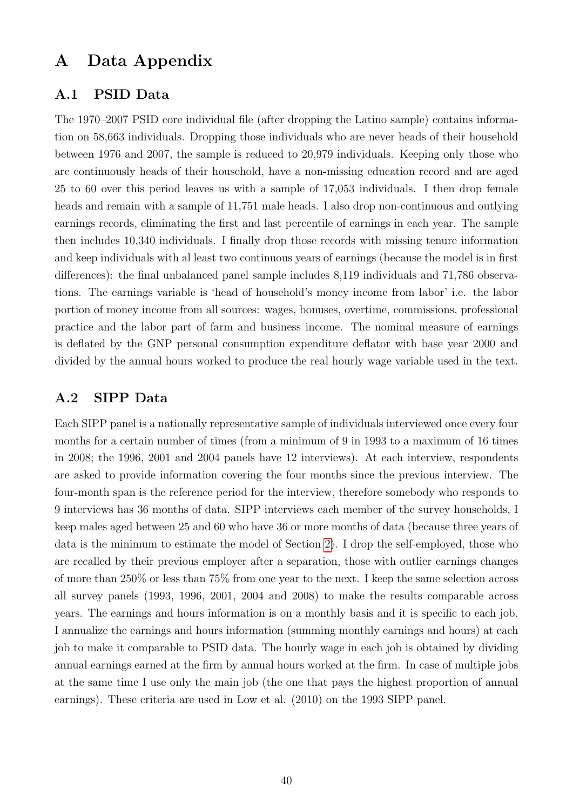## A Data Appendix

#### A.1 PSID Data

The 1970–2007 PSID core individual file (after dropping the Latino sample) contains information on 58,663 individuals. Dropping those individuals who are never heads of their household between 1976 and 2007, the sample is reduced to 20,979 individuals. Keeping only those who are continuously heads of their household, have a non-missing education record and are aged 25 to 60 over this period leaves us with a sample of 17,053 individuals. I then drop female heads and remain with a sample of 11,751 male heads. I also drop non-continuous and outlying earnings records, eliminating the first and last percentile of earnings in each year. The sample then includes 10,340 individuals. I finally drop those records with missing tenure information and keep individuals with al least two continuous years of earnings (because the model is in first differences): the final unbalanced panel sample includes 8,119 individuals and 71,786 observations. The earnings variable is 'head of household's money income from labor' i.e. the labor portion of money income from all sources: wages, bonuses, overtime, commissions, professional practice and the labor part of farm and business income. The nominal measure of earnings is deflated by the GNP personal consumption expenditure deflator with base year 2000 and divided by the annual hours worked to produce the real hourly wage variable used in the text.

#### A.2 SIPP Data

Each SIPP panel is a nationally representative sample of individuals interviewed once every four months for a certain number of times (from a minimum of 9 in 1993 to a maximum of 16 times in 2008; the 1996, 2001 and 2004 panels have 12 interviews). At each interview, respondents are asked to provide information covering the four months since the previous interview. The four-month span is the reference period for the interview, therefore somebody who responds to 9 interviews has 36 months of data. SIPP interviews each member of the survey households, I keep males aged between 25 and 60 who have 36 or more months of data (because three years of data is the minimum to estimate the model of Section [2\)](#page-4-0). I drop the self-employed, those who are recalled by their previous employer after a separation, those with outlier earnings changes of more than 250% or less than 75% from one year to the next. I keep the same selection across all survey panels (1993, 1996, 2001, 2004 and 2008) to make the results comparable across years. The earnings and hours information is on a monthly basis and it is specific to each job. I annualize the earnings and hours information (summing monthly earnings and hours) at each job to make it comparable to PSID data. The hourly wage in each job is obtained by dividing annual earnings earned at the firm by annual hours worked at the firm. In case of multiple jobs at the same time I use only the main job (the one that pays the highest proportion of annual earnings). These criteria are used in Low et al. (2010) on the 1993 SIPP panel.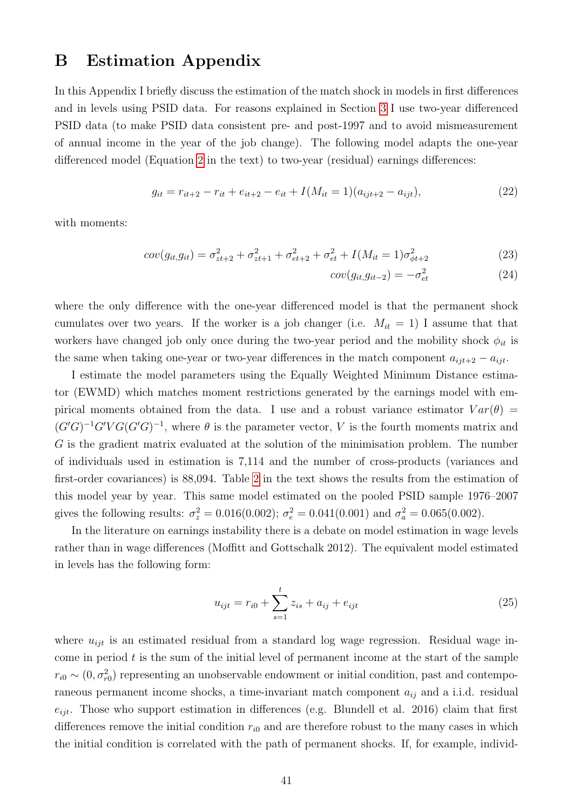### B Estimation Appendix

In this Appendix I briefly discuss the estimation of the match shock in models in first differences and in levels using PSID data. For reasons explained in Section [3](#page-6-0) I use two-year differenced PSID data (to make PSID data consistent pre- and post-1997 and to avoid mismeasurement of annual income in the year of the job change). The following model adapts the one-year differenced model (Equation [2](#page-5-0) in the text) to two-year (residual) earnings differences:

$$
g_{it} = r_{it+2} - r_{it} + e_{it+2} - e_{it} + I(M_{it} = 1)(a_{ijt+2} - a_{ijt}),
$$
\n(22)

with moments:

$$
cov(g_{it}, g_{it}) = \sigma_{zt+2}^2 + \sigma_{zt+1}^2 + \sigma_{et+2}^2 + \sigma_{et}^2 + I(M_{it} = 1)\sigma_{\phi t+2}^2
$$
\n(23)

$$
cov(g_{it}, g_{it-2}) = -\sigma_{et}^2 \tag{24}
$$

where the only difference with the one-year differenced model is that the permanent shock cumulates over two years. If the worker is a job changer (i.e.  $M_{it} = 1$ ) I assume that that workers have changed job only once during the two-year period and the mobility shock  $\phi_{it}$  is the same when taking one-year or two-year differences in the match component  $a_{ijt+2} - a_{ijt}$ .

I estimate the model parameters using the Equally Weighted Minimum Distance estimator (EWMD) which matches moment restrictions generated by the earnings model with empirical moments obtained from the data. I use and a robust variance estimator  $Var(\theta)$  =  $(G'G)^{-1}G'VG(G'G)^{-1}$ , where  $\theta$  is the parameter vector, V is the fourth moments matrix and G is the gradient matrix evaluated at the solution of the minimisation problem. The number of individuals used in estimation is 7,114 and the number of cross-products (variances and first-order covariances) is 88,094. Table [2](#page-11-0) in the text shows the results from the estimation of this model year by year. This same model estimated on the pooled PSID sample 1976–2007 gives the following results:  $\sigma_z^2 = 0.016(0.002)$ ;  $\sigma_e^2 = 0.041(0.001)$  and  $\sigma_a^2 = 0.065(0.002)$ .

In the literature on earnings instability there is a debate on model estimation in wage levels rather than in wage differences (Moffitt and Gottschalk 2012). The equivalent model estimated in levels has the following form:

$$
u_{ijt} = r_{i0} + \sum_{s=1}^{t} z_{is} + a_{ij} + e_{ijt}
$$
 (25)

where  $u_{ijt}$  is an estimated residual from a standard log wage regression. Residual wage income in period  $t$  is the sum of the initial level of permanent income at the start of the sample  $r_{i0} \sim (0, \sigma_{r0}^2)$  representing an unobservable endowment or initial condition, past and contemporaneous permanent income shocks, a time-invariant match component  $a_{ij}$  and a i.i.d. residual  $e_{iit}$ . Those who support estimation in differences (e.g. Blundell et al. 2016) claim that first differences remove the initial condition  $r_{i0}$  and are therefore robust to the many cases in which the initial condition is correlated with the path of permanent shocks. If, for example, individ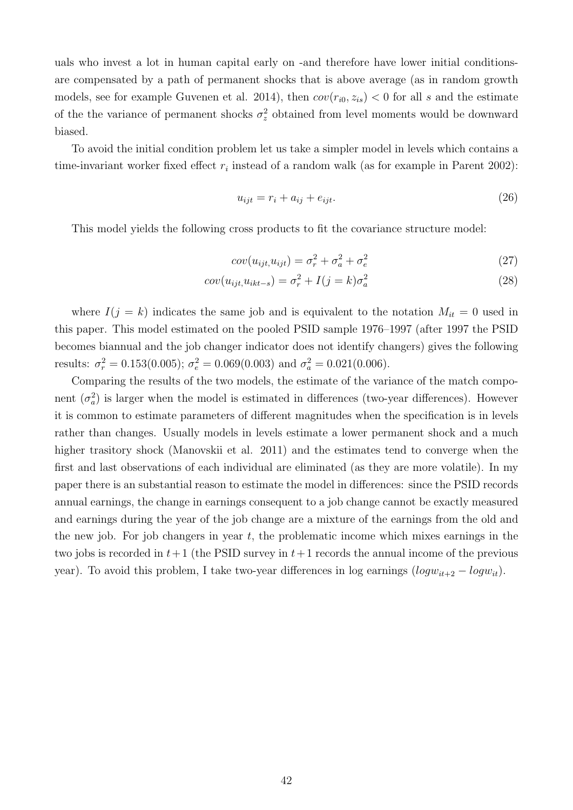uals who invest a lot in human capital early on -and therefore have lower initial conditionsare compensated by a path of permanent shocks that is above average (as in random growth models, see for example Guvenen et al. 2014), then  $cov(r_{i0}, z_{is}) < 0$  for all s and the estimate of the the variance of permanent shocks  $\sigma_z^2$  obtained from level moments would be downward biased.

To avoid the initial condition problem let us take a simpler model in levels which contains a time-invariant worker fixed effect  $r_i$  instead of a random walk (as for example in Parent 2002):

$$
u_{ijt} = r_i + a_{ij} + e_{ijt}.\tag{26}
$$

This model yields the following cross products to fit the covariance structure model:

$$
cov(u_{ijt}, u_{ijt}) = \sigma_r^2 + \sigma_a^2 + \sigma_e^2 \tag{27}
$$

$$
cov(u_{ijt,}u_{ikt-s}) = \sigma_r^2 + I(j=k)\sigma_a^2
$$
\n(28)

where  $I(j = k)$  indicates the same job and is equivalent to the notation  $M_{it} = 0$  used in this paper. This model estimated on the pooled PSID sample 1976–1997 (after 1997 the PSID becomes biannual and the job changer indicator does not identify changers) gives the following results:  $\sigma_r^2 = 0.153(0.005)$ ;  $\sigma_e^2 = 0.069(0.003)$  and  $\sigma_a^2 = 0.021(0.006)$ .

Comparing the results of the two models, the estimate of the variance of the match component  $(\sigma_a^2)$  is larger when the model is estimated in differences (two-year differences). However it is common to estimate parameters of different magnitudes when the specification is in levels rather than changes. Usually models in levels estimate a lower permanent shock and a much higher trasitory shock (Manovskii et al. 2011) and the estimates tend to converge when the first and last observations of each individual are eliminated (as they are more volatile). In my paper there is an substantial reason to estimate the model in differences: since the PSID records annual earnings, the change in earnings consequent to a job change cannot be exactly measured and earnings during the year of the job change are a mixture of the earnings from the old and the new job. For job changers in year  $t$ , the problematic income which mixes earnings in the two jobs is recorded in  $t+1$  (the PSID survey in  $t+1$  records the annual income of the previous year). To avoid this problem, I take two-year differences in log earnings  $(log w_{it+2} - log w_{it})$ .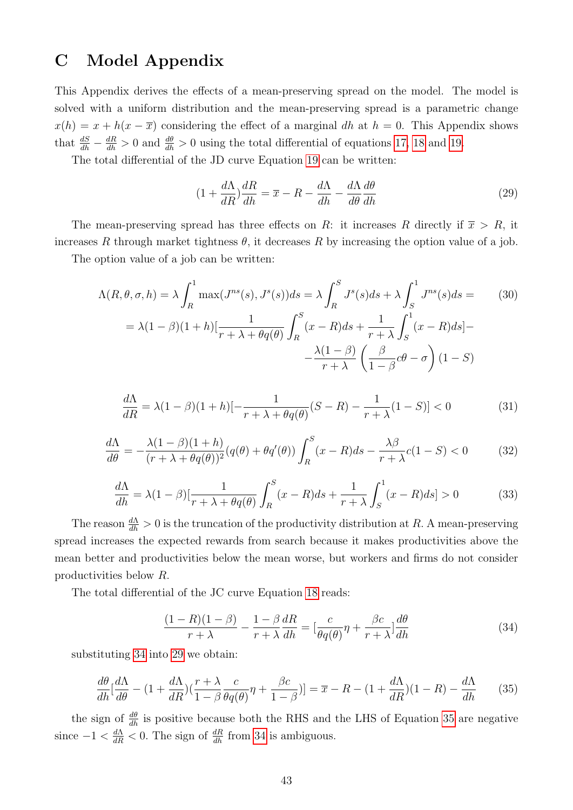## C Model Appendix

This Appendix derives the effects of a mean-preserving spread on the model. The model is solved with a uniform distribution and the mean-preserving spread is a parametric change  $x(h) = x + h(x - \overline{x})$  considering the effect of a marginal dh at  $h = 0$ . This Appendix shows that  $\frac{dS}{dh} - \frac{dR}{dh} > 0$  and  $\frac{d\theta}{dh} > 0$  using the total differential of equations [17,](#page-23-2) [18](#page-23-0) and [19.](#page-23-1)

The total differential of the JD curve Equation [19](#page-23-1) can be written:

<span id="page-43-1"></span>
$$
(1 + \frac{d\Lambda}{dR})\frac{dR}{dh} = \overline{x} - R - \frac{d\Lambda}{dh} - \frac{d\Lambda}{d\theta}\frac{d\theta}{dh}
$$
\n(29)

The mean-preserving spread has three effects on R: it increases R directly if  $\bar{x} > R$ , it increases R through market tightness  $\theta$ , it decreases R by increasing the option value of a job.

The option value of a job can be written:

$$
\Lambda(R,\theta,\sigma,h) = \lambda \int_{R}^{1} \max(J^{ns}(s),J^{s}(s))ds = \lambda \int_{R}^{S} J^{s}(s)ds + \lambda \int_{S}^{1} J^{ns}(s)ds = \tag{30}
$$

$$
= \lambda(1-\beta)(1+h)[\frac{1}{r+\lambda+\theta q(\theta)}\int_{R}^{S} (x-R)ds + \frac{1}{r+\lambda}\int_{S}^{1} (x-R)ds] - \frac{\lambda(1-\beta)}{r+\lambda} \left(\frac{\beta}{1-\beta}c\theta - \sigma\right)(1-S)
$$

$$
\frac{d\Lambda}{dR} = \lambda(1-\beta)(1+h)[-\frac{1}{r+\lambda+\theta q(\theta)}(S-R)-\frac{1}{r+\lambda}(1-S)] < 0
$$
\n(31)

$$
\frac{d\Lambda}{d\theta} = -\frac{\lambda(1-\beta)(1+h)}{(r+\lambda+\theta q(\theta))^2} (q(\theta) + \theta q'(\theta)) \int_R^S (x-R)ds - \frac{\lambda\beta}{r+\lambda} c(1-S) < 0 \tag{32}
$$

$$
\frac{d\Lambda}{dh} = \lambda(1-\beta)\left[\frac{1}{r+\lambda+\theta q(\theta)}\int_{R}^{S} (x-R)ds + \frac{1}{r+\lambda}\int_{S}^{1} (x-R)ds\right] > 0\tag{33}
$$

The reason  $\frac{d\Lambda}{dh} > 0$  is the truncation of the productivity distribution at R. A mean-preserving spread increases the expected rewards from search because it makes productivities above the mean better and productivities below the mean worse, but workers and firms do not consider productivities below R.

The total differential of the JC curve Equation [18](#page-23-0) reads:

<span id="page-43-0"></span>
$$
\frac{(1-R)(1-\beta)}{r+\lambda} - \frac{1-\beta}{r+\lambda}\frac{dR}{dh} = \left[\frac{c}{\theta q(\theta)}\eta + \frac{\beta c}{r+\lambda}\right]\frac{d\theta}{dh}
$$
(34)

substituting [34](#page-43-0) into [29](#page-43-1) we obtain:

<span id="page-43-2"></span>
$$
\frac{d\theta}{dh} \left[ \frac{d\Lambda}{d\theta} - (1 + \frac{d\Lambda}{dR}) \left( \frac{r + \lambda}{1 - \beta} \frac{c}{\theta q(\theta)} \eta + \frac{\beta c}{1 - \beta} \right) \right] = \overline{x} - R - (1 + \frac{d\Lambda}{dR}) (1 - R) - \frac{d\Lambda}{dh} \tag{35}
$$

the sign of  $\frac{d\theta}{dh}$  is positive because both the RHS and the LHS of Equation [35](#page-43-2) are negative since  $-1 < \frac{d\Lambda}{dR} < 0$ . The sign of  $\frac{dR}{dh}$  from [34](#page-43-0) is ambiguous.